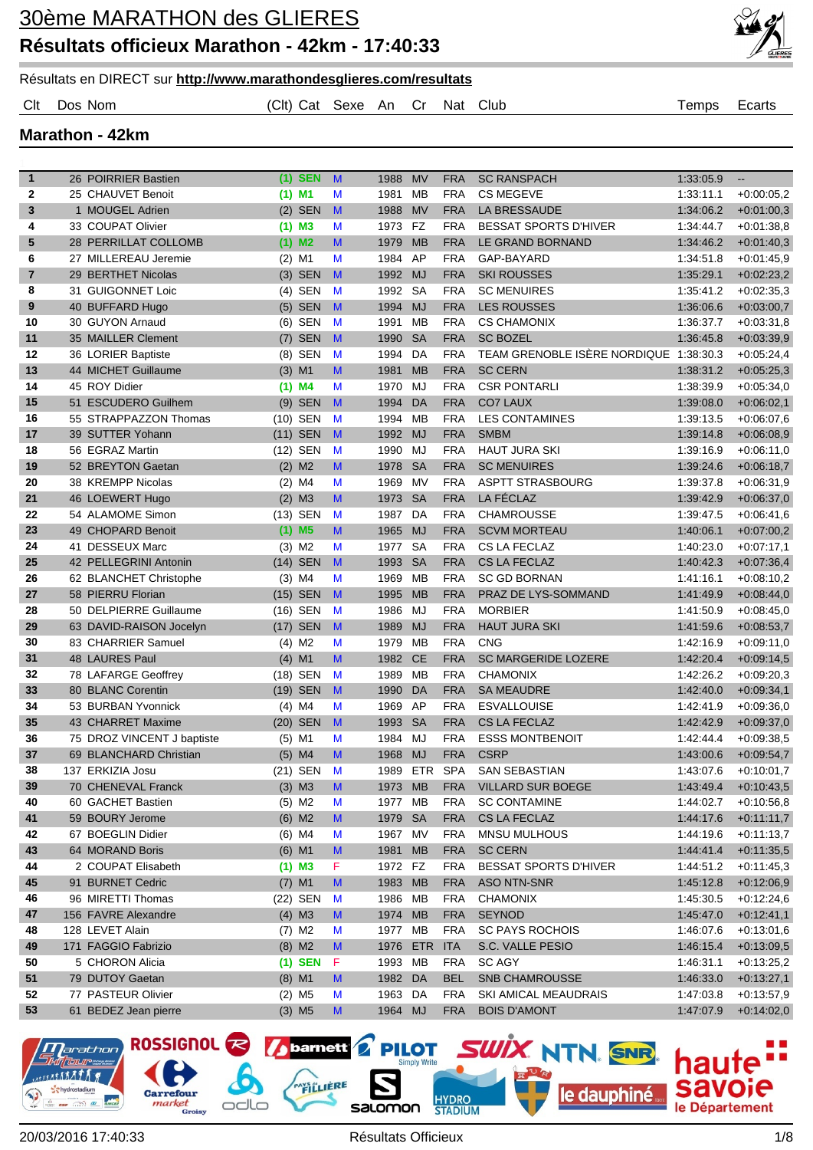



Clt Dos Nom (Clt) Cat Sexe An Cr Nat Club Temps Ecarts

#### **Marathon - 42km**

| $\mathbf{1}$   | 26 POIRRIER Bastien        | $(1)$ SEN            | M | 1988         | <b>MV</b>  | <b>FRA</b>        | <b>SC RANSPACH</b>                     | 1:33:05.9              | $\overline{\phantom{a}}$     |
|----------------|----------------------------|----------------------|---|--------------|------------|-------------------|----------------------------------------|------------------------|------------------------------|
| 2              | 25 CHAUVET Benoit          | (1) M1               | M | 1981         | МB         | <b>FRA</b>        | <b>CS MEGEVE</b>                       | 1:33:11.1              | $+0.00:05,2$                 |
| 3              | 1 MOUGEL Adrien            | $(2)$ SEN            | M | 1988         | <b>MV</b>  | <b>FRA</b>        | LA BRESSAUDE                           | 1:34:06.2              | $+0.01:00.3$                 |
| 4              | 33 COUPAT Olivier          | (1) M3               | M | 1973         | <b>FZ</b>  | <b>FRA</b>        | <b>BESSAT SPORTS D'HIVER</b>           | 1:34:44.7              | $+0.01:38,8$                 |
| 5              | 28 PERRILLAT COLLOMB       | $(1)$ M2             | M | 1979         | <b>MB</b>  | <b>FRA</b>        | LE GRAND BORNAND                       | 1:34:46.2              | $+0.01:40,3$                 |
| 6              | 27 MILLEREAU Jeremie       | $(2)$ M1             | M | 1984         | AP         | <b>FRA</b>        | GAP-BAYARD                             | 1:34:51.8              | $+0.01:45,9$                 |
| $\overline{7}$ | 29 BERTHET Nicolas         | $(3)$ SEN            | M | 1992         | <b>MJ</b>  | <b>FRA</b>        | <b>SKI ROUSSES</b>                     | 1:35:29.1              | $+0.02:23,2$                 |
| 8              | 31 GUIGONNET Loic          | $(4)$ SEN            | M | 1992         | SA         | <b>FRA</b>        | <b>SC MENUIRES</b>                     | 1.35.41.2              | $+0.02:35,3$                 |
| 9              | 40 BUFFARD Hugo            | $(5)$ SEN            | M | 1994         | <b>MJ</b>  | <b>FRA</b>        | <b>LES ROUSSES</b>                     | 1:36:06.6              | $+0.03:00,7$                 |
| 10             | 30 GUYON Arnaud            | $(6)$ SEN            | M | 1991         | <b>MB</b>  | <b>FRA</b>        | <b>CS CHAMONIX</b>                     | 1:36:37.7              | $+0.03:31,8$                 |
| 11             | 35 MAILLER Clement         | $(7)$ SEN            | M | 1990         | <b>SA</b>  | <b>FRA</b>        | <b>SC BOZEL</b>                        | 1:36:45.8              | $+0.03:39,9$                 |
| 12             | 36 LORIER Baptiste         | (8) SEN              | M | 1994         | DA         | <b>FRA</b>        | TEAM GRENOBLE ISERE NORDIQUE 1:38:30.3 |                        | $+0.05:24,4$                 |
| 13             | 44 MICHET Guillaume        | $(3)$ M1             | M | 1981         | <b>MB</b>  | <b>FRA</b>        | <b>SC CERN</b>                         | 1:38:31.2              | $+0.05:25,3$                 |
| 14             | 45 ROY Didier              | $(1)$ M4             | M | 1970         | MJ         | <b>FRA</b>        | <b>CSR PONTARLI</b>                    | 1:38:39.9              | $+0.05:34,0$                 |
| 15             | 51 ESCUDERO Guilhem        | (9) SEN              | M | 1994         | DA         | <b>FRA</b>        | <b>CO7 LAUX</b>                        | 1:39:08.0              | $+0.06:02,1$                 |
| 16             | 55 STRAPPAZZON Thomas      | (10) SEN             | M | 1994         | MВ         | <b>FRA</b>        | <b>LES CONTAMINES</b>                  | 1:39:13.5              | $+0.06:07,6$                 |
| 17             | 39 SUTTER Yohann           | $(11)$ SEN           | M | 1992         | <b>MJ</b>  | <b>FRA</b>        | <b>SMBM</b>                            | 1:39:14.8              | $+0.06:08,9$                 |
| 18             | 56 EGRAZ Martin            | (12) SEN             | M | 1990         | MJ         | <b>FRA</b>        | <b>HAUT JURA SKI</b>                   | 1.39.16.9              | $+0.06:11,0$                 |
| 19             | 52 BREYTON Gaetan          | $(2)$ M2             | M | 1978         | <b>SA</b>  | <b>FRA</b>        | <b>SC MENUIRES</b>                     | 1:39:24.6              | $+0.06:18,7$                 |
| 20             | 38 KREMPP Nicolas          | $(2)$ M4             | M | 1969         | MV         | <b>FRA</b>        | <b>ASPTT STRASBOURG</b>                | 1.39.37.8              | $+0.06:31,9$                 |
| 21             | 46 LOEWERT Hugo            | $(2)$ M3             | M | 1973         | <b>SA</b>  | <b>FRA</b>        | LA FÉCLAZ                              | 1:39:42.9              | $+0.06:37,0$                 |
| 22             | 54 ALAMOME Simon           | $(13)$ SEN           | M | 1987         | DA         | <b>FRA</b>        | <b>CHAMROUSSE</b>                      | 1:39:47.5              | $+0.06:41,6$                 |
| 23             | 49 CHOPARD Benoit          | $(1)$ M <sub>5</sub> | M | 1965         | <b>MJ</b>  | <b>FRA</b>        | <b>SCVM MORTEAU</b>                    | 1:40:06.1              | $+0.07:00,2$                 |
| 24             | 41 DESSEUX Marc            | $(3)$ M2             | M | 1977         | <b>SA</b>  | <b>FRA</b>        | <b>CS LA FECLAZ</b>                    | 1:40:23.0              | $+0.07:17,1$                 |
| 25             | 42 PELLEGRINI Antonin      | (14) SEN             | M | 1993         | <b>SA</b>  | <b>FRA</b>        | <b>CS LA FECLAZ</b>                    | 1:40:42.3              | $+0.07:36,4$                 |
| 26             | 62 BLANCHET Christophe     | $(3)$ M4             | M | 1969         | <b>MB</b>  | <b>FRA</b>        | <b>SC GD BORNAN</b>                    | 1:41:16.1              | $+0.08:10,2$                 |
| 27             | 58 PIERRU Florian          | $(15)$ SEN           | M | 1995         | <b>MB</b>  | <b>FRA</b>        | PRAZ DE LYS-SOMMAND                    | 1:41:49.9              | $+0.08:44,0$                 |
| 28             | 50 DELPIERRE Guillaume     | (16) SEN             | M | 1986         | MJ         | <b>FRA</b>        | <b>MORBIER</b>                         | 1:41:50.9              | $+0.08:45.0$                 |
| 29             | 63 DAVID-RAISON Jocelyn    | (17) SEN             | M | 1989         | <b>MJ</b>  | <b>FRA</b>        | <b>HAUT JURA SKI</b>                   | 1:41:59.6              | $+0.08:53,7$                 |
| 30             | 83 CHARRIER Samuel         | $(4)$ M <sub>2</sub> | M | 1979         | MB         | <b>FRA</b>        | <b>CNG</b>                             | 1:42:16.9              | $+0.09:11.0$                 |
| 31             | 48 LAURES Paul             | $(4)$ M1             | M | 1982         | <b>CE</b>  | <b>FRA</b>        | <b>SC MARGERIDE LOZERE</b>             | 1:42:20.4              | $+0.09:14,5$                 |
| 32             | 78 LAFARGE Geoffrey        | (18) SEN             | M | 1989         | MB         | <b>FRA</b>        | <b>CHAMONIX</b>                        | 1:42:26.2              | $+0.09:20,3$                 |
| 33             | 80 BLANC Corentin          | (19) SEN             | M | 1990         | <b>DA</b>  | <b>FRA</b>        | <b>SA MEAUDRE</b>                      | 1:42:40.0              | $+0.09:34,1$                 |
| 34             | 53 BURBAN Yvonnick         | $(4)$ M4             | M | 1969         | AP         | <b>FRA</b>        | <b>ESVALLOUISE</b>                     | 1:42:41.9              | $+0.09.36.0$                 |
| 35             | 43 CHARRET Maxime          | (20) SEN             | M | 1993         | <b>SA</b>  | <b>FRA</b>        | <b>CS LA FECLAZ</b>                    | 1:42:42.9              | $+0.09:37,0$                 |
| 36             | 75 DROZ VINCENT J baptiste | (5) M1               | M | 1984         | MJ         | <b>FRA</b>        | <b>ESSS MONTBENOIT</b>                 | 1:42:44.4              | $+0.09:38,5$                 |
| 37             | 69 BLANCHARD Christian     | $(5)$ M4             | M | 1968         | <b>MJ</b>  | <b>FRA</b>        | <b>CSRP</b>                            | 1:43:00.6              | $+0.09:54,7$                 |
| 38             | 137 ERKIZIA Josu           | (21) SEN             | M | 1989         | <b>ETR</b> | <b>SPA</b>        | <b>SAN SEBASTIAN</b>                   | 1:43:07.6              | $+0:10:01,7$                 |
| 39             | 70 CHENEVAL Franck         | $(3)$ M3             | M | 1973 MB      |            | <b>FRA</b>        | VILLARD SUR BOEGE                      | 1:43:49.4              | $+0.10.43,5$                 |
| 40             | 60 GACHET Bastien          | $(5)$ M2             | M | 1977 MB      |            | <b>FRA</b>        | <b>SC CONTAMINE</b>                    | 1:44:02.7              | $+0.10.56,8$                 |
| 41             | 59 BOURY Jerome            | $(6)$ M2             | M | 1979 SA      |            | <b>FRA</b>        | CS LA FECLAZ                           | 1:44:17.6              | $+0:11:11,7$                 |
| 42             | 67 BOEGLIN Didier          | $(6)$ M4             | M | 1967 MV      |            | <b>FRA</b>        | <b>MNSU MULHOUS</b>                    | 1:44:19.6              | $+0:11:13,7$                 |
| 43             | 64 MORAND Boris            | $(6)$ M1             | M | 1981         | <b>MB</b>  | <b>FRA</b>        | <b>SC CERN</b>                         | 1:44:41.4              | $+0.11:35,5$                 |
| 44             | 2 COUPAT Elisabeth         | $(1)$ M3             | F | 1972 FZ      |            | FRA               | <b>BESSAT SPORTS D'HIVER</b>           | 1:44:51.2              | $+0.11:45,3$                 |
| 45             | 91 BURNET Cedric           |                      |   | 1983         | <b>MB</b>  |                   | <b>ASO NTN-SNR</b>                     |                        |                              |
| 46             | 96 MIRETTI Thomas          | $(7)$ M1<br>(22) SEN | M |              | МB         | <b>FRA</b>        | <b>CHAMONIX</b>                        | 1:45:12.8              | $+0.12.06,9$                 |
| 47             | 156 FAVRE Alexandre        | $(4)$ M3             | M | 1986<br>1974 | <b>MB</b>  | FRA<br><b>FRA</b> | <b>SEYNOD</b>                          | 1:45:30.5<br>1:45:47.0 | $+0.12:24,6$<br>$+0.12:41,1$ |
|                |                            |                      | M |              |            |                   |                                        |                        |                              |
| 48             | 128 LEVET Alain            | $(7)$ M2             | M | 1977         | МB         | <b>FRA</b>        | <b>SC PAYS ROCHOIS</b>                 | 1:46:07.6              | $+0.13:01,6$                 |
| 49             | 171 FAGGIO Fabrizio        | $(8)$ M2             | M | 1976         | ETR        | <b>ITA</b>        | S.C. VALLE PESIO                       | 1:46:15.4              | $+0.13.09,5$                 |
| 50             | 5 CHORON Alicia            | $(1)$ SEN            | F | 1993 MB      |            | <b>FRA</b>        | SC AGY                                 | 1:46:31.1              | $+0.13:25,2$                 |
| 51             | 79 DUTOY Gaetan            | $(8)$ M1             | M | 1982 DA      |            | <b>BEL</b>        | <b>SNB CHAMROUSSE</b>                  | 1:46:33.0              | $+0.13:27,1$                 |
| 52             | 77 PASTEUR Olivier         | $(2)$ M <sub>5</sub> | M | 1963 DA      |            | <b>FRA</b>        | SKI AMICAL MEAUDRAIS                   | 1:47:03.8              | $+0.13.57,9$                 |
| 53             | 61 BEDEZ Jean pierre       | $(3)$ M <sub>5</sub> | M | 1964 MJ      |            | <b>FRA</b>        | <b>BOIS D'AMONT</b>                    | 1:47:07.9              | $+0.14:02,0$                 |



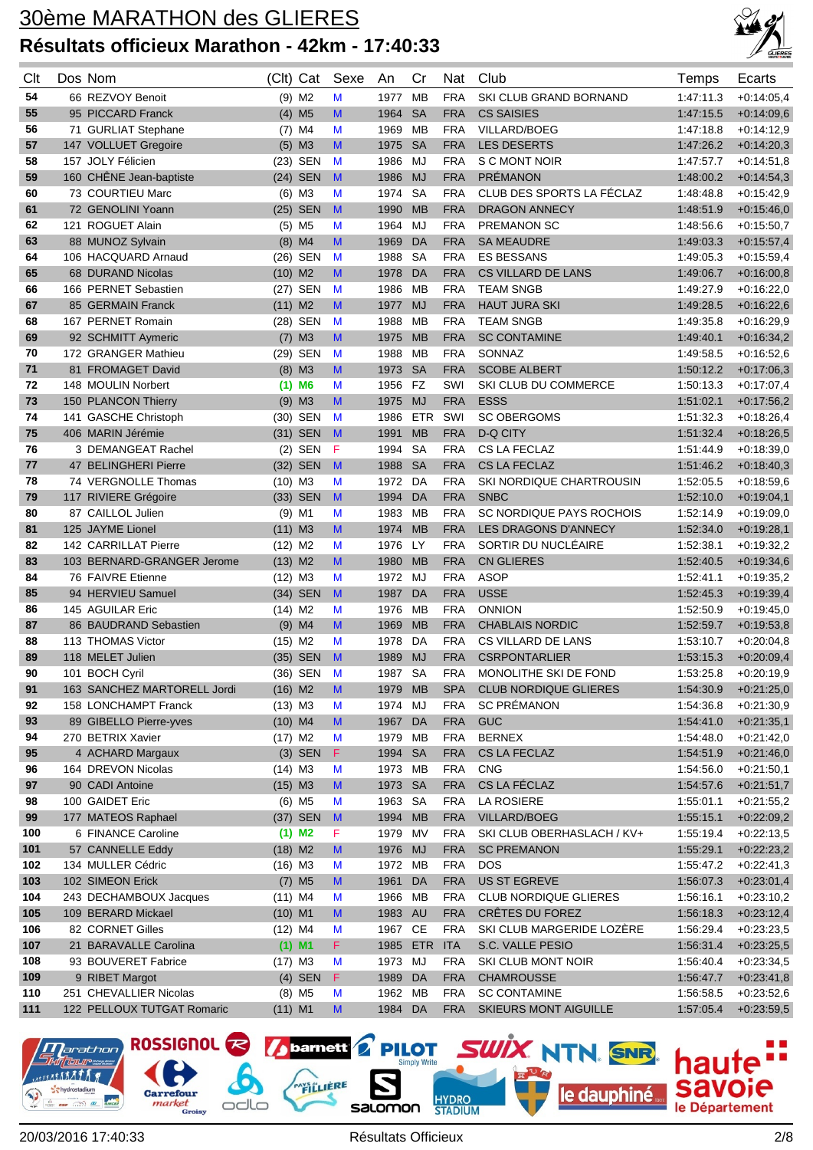

| Clt | Dos Nom                     | (Clt)     | Cat                  | Sexe         | An      | Cr         | Nat        | Club                         | Temps     | Ecarts       |
|-----|-----------------------------|-----------|----------------------|--------------|---------|------------|------------|------------------------------|-----------|--------------|
| 54  | 66 REZVOY Benoit            |           | $(9)$ M2             | M            | 1977    | <b>MB</b>  | <b>FRA</b> | SKI CLUB GRAND BORNAND       | 1:47:11.3 | $+0.14.05.4$ |
| 55  | 95 PICCARD Franck           |           | $(4)$ M <sub>5</sub> | M            | 1964    | <b>SA</b>  | <b>FRA</b> | <b>CS SAISIES</b>            | 1:47:15.5 | $+0.14:09,6$ |
| 56  | 71 GURLIAT Stephane         |           | $(7)$ M4             | M            | 1969    | MВ         | <b>FRA</b> | <b>VILLARD/BOEG</b>          | 1:47:18.8 | $+0.14:12.9$ |
| 57  | 147 VOLLUET Gregoire        |           | $(5)$ M3             | M            | 1975    | <b>SA</b>  | <b>FRA</b> | <b>LES DESERTS</b>           | 1:47:26.2 | $+0:14:20,3$ |
| 58  | 157 JOLY Félicien           |           | (23) SEN             | M            | 1986    | MJ         | <b>FRA</b> | S C MONT NOIR                | 1:47:57.7 | $+0.14.51.8$ |
| 59  | 160 CHENE Jean-baptiste     |           | $(24)$ SEN           | $\mathbf{M}$ | 1986    | <b>MJ</b>  | <b>FRA</b> | <b>PRÉMANON</b>              | 1:48:00.2 | $+0:14:54,3$ |
| 60  | 73 COURTIEU Marc            |           | $(6)$ M3             | M            | 1974    | <b>SA</b>  | <b>FRA</b> | CLUB DES SPORTS LA FÉCLAZ    | 1:48:48.8 | $+0.15:42.9$ |
| 61  | 72 GENOLINI Yoann           |           | $(25)$ SEN           | M            | 1990    | <b>MB</b>  | <b>FRA</b> | <b>DRAGON ANNECY</b>         | 1:48:51.9 | $+0.15:46,0$ |
| 62  | 121 ROGUET Alain            |           | $(5)$ M <sub>5</sub> | M            | 1964    | MJ         | <b>FRA</b> | <b>PREMANON SC</b>           | 1:48:56.6 | $+0.15.50,7$ |
| 63  | 88 MUNOZ Sylvain            |           | $(8)$ M4             | M            | 1969    | DA         | <b>FRA</b> | <b>SA MEAUDRE</b>            | 1:49:03.3 | $+0:15:57,4$ |
| 64  | 106 HACQUARD Arnaud         |           | (26) SEN             | M            | 1988    | <b>SA</b>  | <b>FRA</b> | <b>ES BESSANS</b>            | 1:49:05.3 | $+0.15.59,4$ |
| 65  | 68 DURAND Nicolas           | $(10)$ M2 |                      | M            | 1978    | DA         | <b>FRA</b> | <b>CS VILLARD DE LANS</b>    | 1:49:06.7 | $+0.16:00,8$ |
| 66  | 166 PERNET Sebastien        |           | (27) SEN             | M            | 1986    | MВ         | <b>FRA</b> | <b>TEAM SNGB</b>             | 1:49:27.9 | $+0.16:22,0$ |
| 67  | 85 GERMAIN Franck           | $(11)$ M2 |                      | M            | 1977    | <b>MJ</b>  | <b>FRA</b> | <b>HAUT JURA SKI</b>         | 1:49:28.5 | $+0.16:22,6$ |
| 68  | 167 PERNET Romain           |           | (28) SEN             | M            | 1988    | <b>MB</b>  | <b>FRA</b> | <b>TEAM SNGB</b>             | 1:49:35.8 | $+0.16:29,9$ |
| 69  | 92 SCHMITT Aymeric          |           | $(7)$ M3             | M            | 1975    | <b>MB</b>  | <b>FRA</b> | <b>SC CONTAMINE</b>          | 1:49:40.1 | $+0.16:34,2$ |
| 70  | 172 GRANGER Mathieu         |           | (29) SEN             | M            | 1988    | <b>MB</b>  | <b>FRA</b> | SONNAZ                       | 1:49:58.5 | $+0.16.52.6$ |
| 71  | 81 FROMAGET David           |           | $(8)$ M3             | M            | 1973    | <b>SA</b>  | <b>FRA</b> | <b>SCOBE ALBERT</b>          | 1:50:12.2 | $+0.17:06,3$ |
| 72  | 148 MOULIN Norbert          | (1)       | M <sub>6</sub>       | M            | 1956    | <b>FZ</b>  | SWI        | SKI CLUB DU COMMERCE         | 1:50:13.3 | $+0.17:07,4$ |
| 73  | 150 PLANCON Thierry         |           | $(9)$ M3             | M            | 1975    | <b>MJ</b>  | <b>FRA</b> | <b>ESSS</b>                  | 1:51:02.1 | $+0:17:56,2$ |
| 74  | 141 GASCHE Christoph        | (30)      | <b>SEN</b>           | M            | 1986    | <b>ETR</b> | SWI        | <b>SC OBERGOMS</b>           | 1:51:32.3 | $+0.18:26,4$ |
| 75  | 406 MARIN Jérémie           |           | (31) SEN             | $\mathbf{M}$ | 1991    | <b>MB</b>  | <b>FRA</b> | <b>D-Q CITY</b>              | 1:51:32.4 | $+0.18:26,5$ |
| 76  | 3 DEMANGEAT Rachel          | (2)       | SEN                  | F            | 1994    | <b>SA</b>  | <b>FRA</b> | CS LA FECLAZ                 | 1:51:44.9 | $+0.18:39.0$ |
| 77  | 47 BELINGHERI Pierre        |           | (32) SEN             | $\mathbf{M}$ | 1988    | <b>SA</b>  | <b>FRA</b> | <b>CS LA FECLAZ</b>          | 1:51:46.2 | $+0.18:40,3$ |
| 78  | 74 VERGNOLLE Thomas         | $(10)$ M3 |                      | M            | 1972    | DA         | <b>FRA</b> | SKI NORDIQUE CHARTROUSIN     | 1:52:05.5 | $+0.18:59,6$ |
| 79  | 117 RIVIERE Grégoire        |           | (33) SEN             | M            | 1994    | DA         | <b>FRA</b> | <b>SNBC</b>                  | 1:52:10.0 | $+0.19.04,1$ |
| 80  | 87 CAILLOL Julien           |           | $(9)$ M1             | M            | 1983    | MВ         | <b>FRA</b> | SC NORDIQUE PAYS ROCHOIS     | 1:52:14.9 | $+0.19.09.0$ |
| 81  | 125 JAYME Lionel            | (11) M3   |                      | M            | 1974    | <b>MB</b>  | <b>FRA</b> | LES DRAGONS D'ANNECY         | 1:52:34.0 | $+0.19.28,1$ |
| 82  | 142 CARRILLAT Pierre        | $(12)$ M2 |                      | M            | 1976    | LY         | <b>FRA</b> | SORTIR DU NUCLÉAIRE          | 1:52:38.1 | $+0.19.32,2$ |
| 83  | 103 BERNARD-GRANGER Jerome  | $(13)$ M2 |                      | M            | 1980    | <b>MB</b>  | <b>FRA</b> | <b>CN GLIERES</b>            | 1:52:40.5 | $+0.19:34,6$ |
| 84  | 76 FAIVRE Etienne           | $(12)$ M3 |                      | M            | 1972    | MJ         | <b>FRA</b> | <b>ASOP</b>                  | 1:52:41.1 | $+0.19.35,2$ |
| 85  | 94 HERVIEU Samuel           |           | (34) SEN             | M            | 1987    | <b>DA</b>  | <b>FRA</b> | <b>USSE</b>                  | 1:52:45.3 | $+0.19.39,4$ |
| 86  | 145 AGUILAR Eric            | $(14)$ M2 |                      | M            | 1976    | MB         | <b>FRA</b> | <b>ONNION</b>                | 1:52:50.9 | $+0.19:45,0$ |
| 87  | 86 BAUDRAND Sebastien       |           | $(9)$ M4             | M            | 1969    | <b>MB</b>  | <b>FRA</b> | <b>CHABLAIS NORDIC</b>       | 1:52:59.7 | $+0.19.53,8$ |
| 88  | 113 THOMAS Victor           | $(15)$ M2 |                      | M            | 1978    | DA         | <b>FRA</b> | CS VILLARD DE LANS           | 1:53:10.7 | $+0.20:04,8$ |
| 89  | 118 MELET Julien            |           | (35) SEN             | M            | 1989    | <b>MJ</b>  | <b>FRA</b> | <b>CSRPONTARLIER</b>         | 1:53:15.3 | $+0.20:09,4$ |
| 90  | 101 BOCH Cyril              |           | (36) SEN             | M            | 1987    | <b>SA</b>  | <b>FRA</b> | MONOLITHE SKI DE FOND        | 1:53:25.8 | $+0.20:19.9$ |
| 91  | 163 SANCHEZ MARTORELL Jordi | $(16)$ M2 |                      | M            | 1979    | MB         | <b>SPA</b> | <b>CLUB NORDIQUE GLIERES</b> | 1:54:30.9 | $+0.21:25,0$ |
| 92  | 158 LONCHAMPT Franck        | $(13)$ M3 |                      | M            | 1974    | MJ         | <b>FRA</b> | <b>SC PRÉMANON</b>           | 1:54:36.8 | $+0.21:30,9$ |
| 93  | 89 GIBELLO Pierre-yves      | $(10)$ M4 |                      | M            | 1967    | DA         | <b>FRA</b> | <b>GUC</b>                   | 1:54:41.0 | $+0:21:35,1$ |
| 94  | 270 BETRIX Xavier           | $(17)$ M2 |                      | M            | 1979    | MB         | <b>FRA</b> | <b>BERNEX</b>                | 1:54:48.0 | $+0.21:42,0$ |
| 95  | 4 ACHARD Margaux            |           | $(3)$ SEN            | F            | 1994    | <b>SA</b>  | <b>FRA</b> | CS LA FECLAZ                 | 1:54:51.9 | $+0.21:46,0$ |
| 96  | 164 DREVON Nicolas          | $(14)$ M3 |                      | M            | 1973    | МB         | <b>FRA</b> | CNG                          | 1:54:56.0 | $+0:21:50,1$ |
| 97  | 90 CADI Antoine             | $(15)$ M3 |                      | M            | 1973    | <b>SA</b>  | <b>FRA</b> | CS LA FÉCLAZ                 | 1:54:57.6 | $+0.21:51,7$ |
| 98  | 100 GAIDET Eric             |           | $(6)$ M <sub>5</sub> | M            | 1963    | - SA       | <b>FRA</b> | <b>LA ROSIERE</b>            | 1:55:01.1 | $+0.21:55,2$ |
| 99  | 177 MATEOS Raphael          |           | (37) SEN             | M            | 1994 MB |            | <b>FRA</b> | <b>VILLARD/BOEG</b>          | 1:55:15.1 | $+0.22:09,2$ |
| 100 | 6 FINANCE Caroline          |           | $(1)$ M <sub>2</sub> | F.           | 1979 MV |            | <b>FRA</b> | SKI CLUB OBERHASLACH / KV+   | 1:55:19.4 | $+0.22:13,5$ |
| 101 | 57 CANNELLE Eddy            | $(18)$ M2 |                      | M            | 1976    | <b>MJ</b>  | <b>FRA</b> | <b>SC PREMANON</b>           | 1:55:29.1 | $+0.22:23,2$ |
| 102 | 134 MULLER Cédric           | $(16)$ M3 |                      | M            | 1972 MB |            | <b>FRA</b> | <b>DOS</b>                   | 1:55:47.2 | $+0.22:41,3$ |
| 103 | 102 SIMEON Erick            |           | $(7)$ M <sub>5</sub> | M            | 1961    | DA         | <b>FRA</b> | <b>US ST EGREVE</b>          | 1:56:07.3 | $+0.23:01,4$ |
| 104 | 243 DECHAMBOUX Jacques      | $(11)$ M4 |                      | M            | 1966 MB |            | <b>FRA</b> | <b>CLUB NORDIQUE GLIERES</b> | 1:56:16.1 | $+0.23:10,2$ |
| 105 | 109 BERARD Mickael          | $(10)$ M1 |                      | M            | 1983 AU |            | <b>FRA</b> | CRÊTES DU FOREZ              | 1:56:18.3 | $+0.23:12,4$ |
| 106 | 82 CORNET Gilles            | $(12)$ M4 |                      | M            | 1967 CE |            | <b>FRA</b> | SKI CLUB MARGERIDE LOZÈRE    | 1:56:29.4 | $+0.23.23,5$ |
| 107 | 21 BARAVALLE Carolina       |           | $(1)$ M1             | F.           | 1985    | <b>ETR</b> | <b>ITA</b> | S.C. VALLE PESIO             | 1:56:31.4 | $+0.23:25,5$ |
| 108 | 93 BOUVERET Fabrice         | $(17)$ M3 |                      | M            | 1973 MJ |            | <b>FRA</b> | SKI CLUB MONT NOIR           | 1:56:40.4 | $+0.23.34,5$ |
| 109 | 9 RIBET Margot              |           | $(4)$ SEN            | F.           | 1989    | DA         | <b>FRA</b> | <b>CHAMROUSSE</b>            | 1:56:47.7 | $+0.23.41,8$ |
| 110 | 251 CHEVALLIER Nicolas      |           | $(8)$ M5             | M            | 1962 MB |            | <b>FRA</b> | <b>SC CONTAMINE</b>          | 1:56:58.5 | $+0.23.52,6$ |
| 111 | 122 PELLOUX TUTGAT Romaric  | $(11)$ M1 |                      | M            | 1984 DA |            | <b>FRA</b> | SKIEURS MONT AIGUILLE        | 1:57:05.4 | $+0.23.59,5$ |

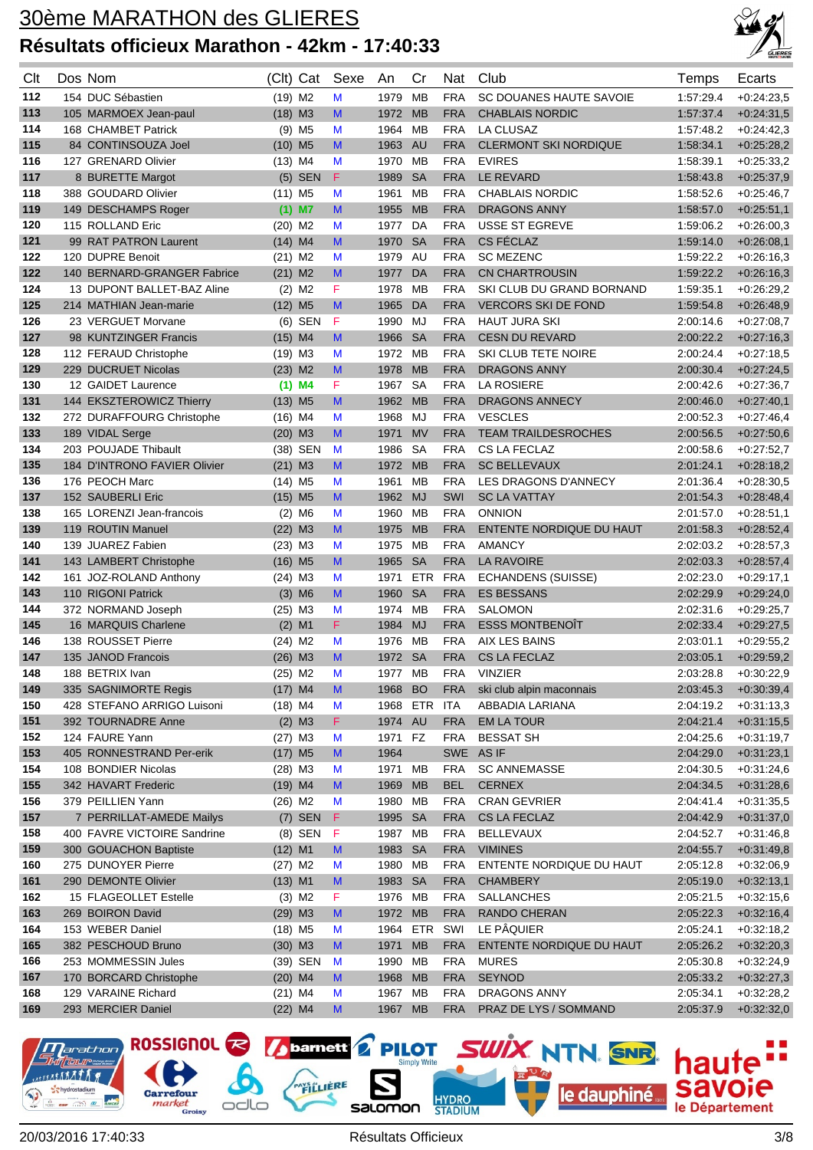

| Clt        | Dos Nom                                        | (Clt)                 | Cat                  | Sexe   | An           | Cr                     | <b>Nat</b>        | Club                                 | Temps                  | Ecarts                       |
|------------|------------------------------------------------|-----------------------|----------------------|--------|--------------|------------------------|-------------------|--------------------------------------|------------------------|------------------------------|
| 112        | 154 DUC Sébastien                              | $(19)$ M <sub>2</sub> |                      | М      | 1979         | МB                     | <b>FRA</b>        | SC DOUANES HAUTE SAVOIE              | 1:57:29.4              | $+0.24:23.5$                 |
| 113        | 105 MARMOEX Jean-paul                          | $(18)$ M3             |                      | M      | 1972         | <b>MB</b>              | <b>FRA</b>        | <b>CHABLAIS NORDIC</b>               | 1:57:37.4              | $+0:24:31,5$                 |
| 114        | 168 CHAMBET Patrick                            | (9)                   | M <sub>5</sub>       | M      | 1964         | <b>MB</b>              | <b>FRA</b>        | LA CLUSAZ                            | 1.57:48.2              | $+0.24:42,3$                 |
| 115        | 84 CONTINSOUZA Joel                            | (10)                  | M <sub>5</sub>       | M      | 1963         | <b>AU</b>              | <b>FRA</b>        | <b>CLERMONT SKI NORDIQUE</b>         | 1:58:34.1              | $+0.25:28,2$                 |
| 116        | 127 GRENARD Olivier                            | $(13)$ M4             |                      | M      | 1970         | MВ                     | <b>FRA</b>        | <b>EVIRES</b>                        | 1:58:39.1              | $+0.25:33.2$                 |
| 117        | 8 BURETTE Margot                               |                       | $(5)$ SEN            | F      | 1989         | <b>SA</b>              | <b>FRA</b>        | LE REVARD                            | 1:58:43.8              | $+0.25:37,9$                 |
| 118        | 388 GOUDARD Olivier                            | $(11)$ M5             |                      | M      | 1961         | MВ                     | <b>FRA</b>        | <b>CHABLAIS NORDIC</b>               | 1:58:52.6              | $+0.25:46.7$                 |
| 119        | 149 DESCHAMPS Roger                            |                       | $(1)$ M7             | M      | 1955         | <b>MB</b>              | <b>FRA</b>        | <b>DRAGONS ANNY</b>                  | 1:58:57.0              | $+0.25:51,1$                 |
| 120        | 115 ROLLAND Eric                               | $(20)$ M <sub>2</sub> |                      | M      | 1977         | DA                     | <b>FRA</b>        | <b>USSE ST EGREVE</b>                | 1:59:06.2              | $+0.26:00.3$                 |
| 121        | 99 RAT PATRON Laurent                          | $(14)$ M4             |                      | M      | 1970         | <b>SA</b>              | <b>FRA</b>        | CS FÉCLAZ                            | 1:59:14.0              | $+0.26:08,1$                 |
| 122        | 120 DUPRE Benoit                               | $(21)$ M2             |                      | M      | 1979         | AU                     | <b>FRA</b>        | <b>SC MEZENC</b>                     | 1:59:22.2              | $+0.26:16.3$                 |
| 122        | 140 BERNARD-GRANGER Fabrice                    | $(21)$ M <sub>2</sub> |                      | M      | 1977         | DA                     | <b>FRA</b>        | <b>CN CHARTROUSIN</b>                | 1:59:22.2              | $+0.26:16.3$                 |
| 124        | 13 DUPONT BALLET-BAZ Aline                     |                       | $(2)$ M2             | F      | 1978         | МB                     | <b>FRA</b>        | SKI CLUB DU GRAND BORNAND            | 1:59:35.1              | $+0.26:29,2$                 |
| 125        | 214 MATHIAN Jean-marie                         | $(12)$ M <sub>5</sub> |                      | M      | 1965         | DA                     | <b>FRA</b>        | <b>VERCORS SKI DE FOND</b>           | 1:59:54.8              | $+0.26:48,9$                 |
| 126        | 23 VERGUET Morvane                             |                       | $(6)$ SEN            | F      | 1990         | MJ                     | <b>FRA</b>        | <b>HAUT JURA SKI</b>                 | 2:00:14.6              | $+0.27:08,7$                 |
| 127        | 98 KUNTZINGER Francis                          | $(15)$ M4             |                      | M      | 1966         | <b>SA</b>              | <b>FRA</b>        | <b>CESN DU REVARD</b>                | 2:00:22.2              | $+0:27:16.3$                 |
| 128        | 112 FERAUD Christophe                          | $(19)$ M3             |                      | M      | 1972 MB      |                        | <b>FRA</b>        | SKI CLUB TETE NOIRE                  | 2:00:24.4              | $+0.27:18,5$                 |
| 129        | 229 DUCRUET Nicolas                            | $(23)$ M2             |                      | M      | 1978         | <b>MB</b>              | <b>FRA</b>        | <b>DRAGONS ANNY</b>                  | 2:00:30.4              | $+0.27:24.5$                 |
| 130        | 12 GAIDET Laurence                             |                       | $(1)$ M4             | F      | 1967         | <b>SA</b>              | <b>FRA</b>        | LA ROSIERE                           | 2:00:42.6              | $+0.27.36.7$                 |
| 131        | 144 EKSZTEROWICZ Thierry                       | $(13)$ M <sub>5</sub> |                      | M      | 1962         | <b>MB</b>              | <b>FRA</b>        | <b>DRAGONS ANNECY</b>                | 2:00:46.0              | $+0.27:40,1$                 |
| 132        | 272 DURAFFOURG Christophe                      | $(16)$ M4             |                      | M      | 1968         | MJ                     | <b>FRA</b>        | <b>VESCLES</b>                       | 2:00:52.3              | $+0.27:46.4$                 |
| 133        | 189 VIDAL Serge                                | $(20)$ M3             |                      | M      | 1971         | <b>MV</b>              | <b>FRA</b>        | <b>TEAM TRAILDESROCHES</b>           | 2:00:56.5              | $+0.27:50,6$                 |
| 134        | 203 POUJADE Thibault                           | (38)                  | <b>SEN</b>           | M      | 1986         | <b>SA</b>              | <b>FRA</b>        | CS LA FECLAZ                         | 2:00:58.6              | $+0.27:52.7$                 |
| 135        | 184 D'INTRONO FAVIER Olivier                   | $(21)$ M3             |                      | M      | 1972         | <b>MB</b>              | <b>FRA</b>        | <b>SC BELLEVAUX</b>                  | 2:01:24.1              | $+0:28:18,2$                 |
| 136        | 176 PEOCH Marc                                 | $(14)$ M <sub>5</sub> |                      | M<br>M | 1961         | <b>MB</b><br><b>MJ</b> | <b>FRA</b>        | LES DRAGONS D'ANNECY                 | 2:01:36.4              | $+0.28:30,5$                 |
| 137        | 152 SAUBERLI Eric<br>165 LORENZI Jean-francois | $(15)$ M5             |                      | M      | 1962<br>1960 | MВ                     | SWI<br><b>FRA</b> | <b>SC LA VATTAY</b><br><b>ONNION</b> | 2:01:54.3<br>2:01:57.0 | $+0.28:48,4$<br>$+0.28:51,1$ |
| 138<br>139 | 119 ROUTIN Manuel                              | $(22)$ M3             | $(2)$ M <sub>6</sub> | M      | 1975         | <b>MB</b>              | <b>FRA</b>        | ENTENTE NORDIQUE DU HAUT             | 2:01:58.3              | $+0.28:52,4$                 |
| 140        | 139 JUAREZ Fabien                              | $(23)$ M3             |                      | M      | 1975         | MВ                     | <b>FRA</b>        | <b>AMANCY</b>                        | 2:02:03.2              | $+0.28:57,3$                 |
| 141        | 143 LAMBERT Christophe                         | $(16)$ M <sub>5</sub> |                      | M      | 1965         | <b>SA</b>              | <b>FRA</b>        | <b>LA RAVOIRE</b>                    | 2:02:03.3              | $+0.28:57,4$                 |
| 142        | 161 JOZ-ROLAND Anthony                         | $(24)$ M3             |                      | M      | 1971         | <b>ETR</b>             | FRA               | ECHANDENS (SUISSE)                   | 2:02:23.0              | $+0.29:17,1$                 |
| 143        | 110 RIGONI Patrick                             |                       | $(3)$ M6             | M      | 1960         | <b>SA</b>              | <b>FRA</b>        | <b>ES BESSANS</b>                    | 2:02:29.9              | $+0.29:24.0$                 |
| 144        | 372 NORMAND Joseph                             | $(25)$ M3             |                      | M      | 1974         | МB                     | <b>FRA</b>        | <b>SALOMON</b>                       | 2:02:31.6              | $+0.29:25,7$                 |
| 145        | 16 MARQUIS Charlene                            |                       | $(2)$ M1             | F      | 1984         | <b>MJ</b>              | <b>FRA</b>        | <b>ESSS MONTBENOIT</b>               | 2:02:33.4              | $+0.29:27,5$                 |
| 146        | 138 ROUSSET Pierre                             | $(24)$ M2             |                      | М      | 1976         | МB                     | <b>FRA</b>        | AIX LES BAINS                        | 2:03:01.1              | $+0.29:55,2$                 |
| 147        | 135 JANOD Francois                             | $(26)$ M3             |                      | M      | 1972         | <b>SA</b>              | <b>FRA</b>        | CS LA FECLAZ                         | 2:03:05.1              | $+0.29:59.2$                 |
| 148        | 188 BETRIX Ivan                                | $(25)$ M2             |                      | М      | 1977         | МB                     | <b>FRA</b>        | <b>VINZIER</b>                       | 2:03:28.8              | $+0.30:22.9$                 |
| 149        | 335 SAGNIMORTE Regis                           | $(17)$ M4             |                      | M      | 1968 BO      |                        | <b>FRA</b>        | ski club alpin maconnais             | 2:03:45.3              | $+0.30.39,4$                 |
| 150        | 428 STEFANO ARRIGO Luisoni                     | $(18)$ M4             |                      | M      | 1968 ETR     |                        | <b>ITA</b>        | ABBADIA LARIANA                      | 2:04:19.2              | $+0:31:13,3$                 |
| 151        | 392 TOURNADRE Anne                             |                       | $(2)$ M3             | F.     | 1974 AU      |                        | <b>FRA</b>        | <b>EM LA TOUR</b>                    | 2:04:21.4              | $+0:31:15,5$                 |
| 152        | 124 FAURE Yann                                 | $(27)$ M3             |                      | M      | 1971         | FZ                     | <b>FRA</b>        | <b>BESSAT SH</b>                     | 2:04:25.6              | $+0:31:19,7$                 |
| 153        | 405 RONNESTRAND Per-erik                       | $(17)$ M5             |                      | M      | 1964         |                        |                   | SWE AS IF                            | 2:04:29.0              | $+0:31:23,1$                 |
| 154        | 108 BONDIER Nicolas                            | $(28)$ M3             |                      | M      | 1971         | MВ                     | <b>FRA</b>        | <b>SC ANNEMASSE</b>                  | 2:04:30.5              | $+0.31:24,6$                 |
| 155        | 342 HAVART Frederic                            | $(19)$ M4             |                      | M      | 1969         | <b>MB</b>              | <b>BEL</b>        | <b>CERNEX</b>                        | 2:04:34.5              | $+0.31:28,6$                 |
| 156        | 379 PEILLIEN Yann                              | $(26)$ M2             |                      | M      | 1980         | MB                     | <b>FRA</b>        | <b>CRAN GEVRIER</b>                  | 2:04:41.4              | $+0.31.35,5$                 |
| 157        | 7 PERRILLAT-AMEDE Mailys                       |                       | $(7)$ SEN            | F      | 1995         | <b>SA</b>              | <b>FRA</b>        | CS LA FECLAZ                         | 2:04:42.9              | $+0.31:37,0$                 |
| 158        | 400 FAVRE VICTOIRE Sandrine                    |                       | (8) SEN              | -F     | 1987         | МB                     | <b>FRA</b>        | <b>BELLEVAUX</b>                     | 2:04:52.7              | $+0:31:46,8$                 |
| 159        | 300 GOUACHON Baptiste                          | $(12)$ M1             |                      | M      | 1983         | <b>SA</b>              | <b>FRA</b>        | <b>VIMINES</b>                       | 2:04:55.7              | $+0.31.49,8$                 |
| 160        | 275 DUNOYER Pierre                             | (27) M2               |                      | M      | 1980         | MB                     | <b>FRA</b>        | ENTENTE NORDIQUE DU HAUT             | 2:05:12.8              | $+0.32:06,9$                 |
| 161        | 290 DEMONTE Olivier                            | $(13)$ M1             |                      | M      | 1983 SA      |                        | <b>FRA</b>        | <b>CHAMBERY</b>                      | 2:05:19.0              | $+0:32:13,1$                 |
| 162        | 15 FLAGEOLLET Estelle                          |                       | $(3)$ M <sub>2</sub> | F      | 1976         | МB                     | <b>FRA</b>        | <b>SALLANCHES</b>                    | 2:05:21.5              | $+0.32:15,6$                 |
| 163        | 269 BOIRON David                               | $(29)$ M3             |                      | M      | 1972 MB      |                        | <b>FRA</b>        | RANDO CHERAN                         | 2:05:22.3              | $+0.32:16,4$                 |
| 164        | 153 WEBER Daniel                               | $(18)$ M <sub>5</sub> |                      | M      | 1964 ETR     |                        | SWI               | LE PÂQUIER                           | 2:05:24.1              | $+0.32:18,2$                 |
| 165        | 382 PESCHOUD Bruno                             | $(30)$ M3             |                      | M      | 1971         | <b>MB</b>              | <b>FRA</b>        | ENTENTE NORDIQUE DU HAUT             | 2:05:26.2              | $+0.32:20,3$                 |
| 166        | 253 MOMMESSIN Jules                            |                       | (39) SEN             | M      | 1990         | МB                     | <b>FRA</b>        | <b>MURES</b>                         | 2:05:30.8              | $+0.32:24,9$                 |
| 167        | 170 BORCARD Christophe                         | $(20)$ M4             |                      | M      | 1968         | <b>MB</b>              | <b>FRA</b>        | <b>SEYNOD</b>                        | 2:05:33.2              | $+0.32:27,3$                 |
| 168        | 129 VARAINE Richard                            | $(21)$ M4             |                      | M      | 1967         | МB                     | <b>FRA</b>        | <b>DRAGONS ANNY</b>                  | 2:05:34.1              | $+0.32:28,2$                 |
| 169        | 293 MERCIER Daniel                             | $(22)$ M4             |                      | M      | 1967 MB      |                        | <b>FRA</b>        | PRAZ DE LYS / SOMMAND                | 2:05:37.9              | $+0.32:32,0$                 |

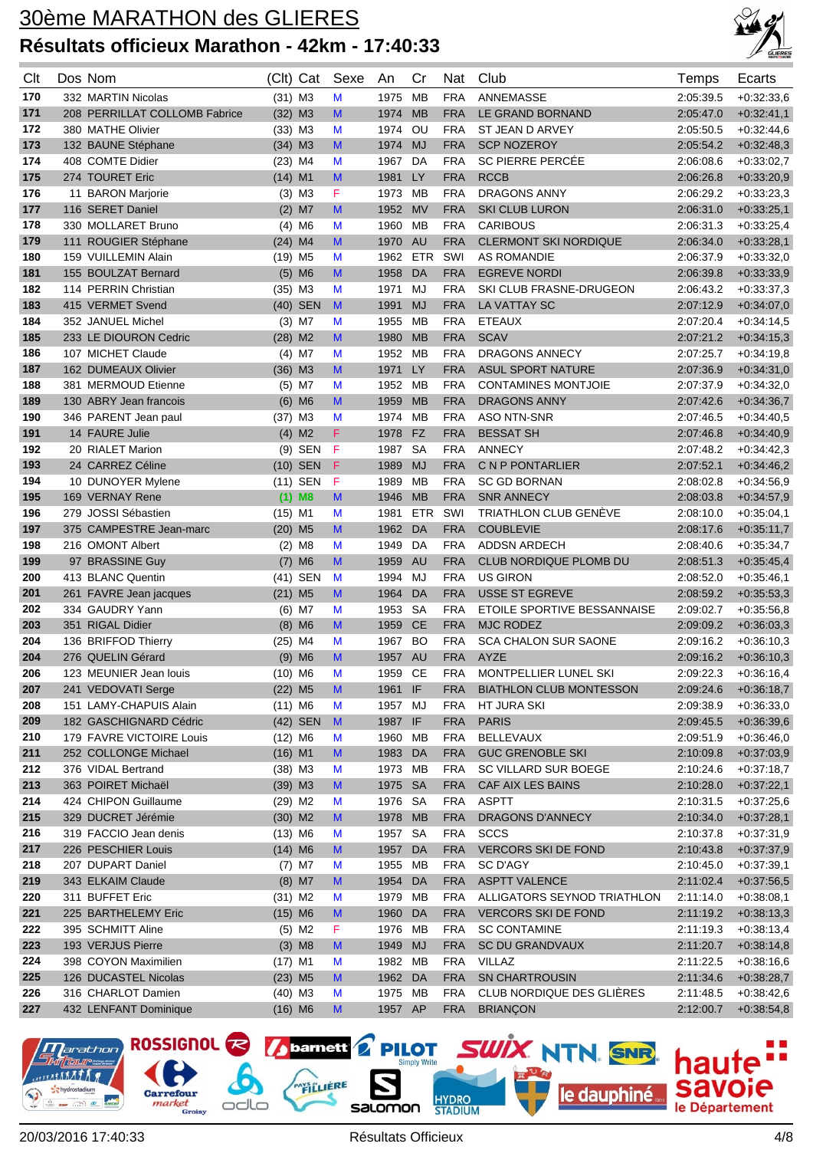

| Clt | Dos Nom                       |                       | (Clt) Cat            | Sexe         | An      | Cr         | Nat        | Club                           | Temps     | Ecarts       |
|-----|-------------------------------|-----------------------|----------------------|--------------|---------|------------|------------|--------------------------------|-----------|--------------|
| 170 | 332 MARTIN Nicolas            | $(31)$ M3             |                      | M            | 1975    | <b>MB</b>  | <b>FRA</b> | ANNEMASSE                      | 2:05:39.5 | $+0.32:33,6$ |
| 171 | 208 PERRILLAT COLLOMB Fabrice | $(32)$ M3             |                      | M            | 1974    | <b>MB</b>  | <b>FRA</b> | LE GRAND BORNAND               | 2:05:47.0 | $+0:32:41,1$ |
| 172 | 380 MATHE Olivier             | $(33)$ M3             |                      | M            | 1974    | OU         | <b>FRA</b> | ST JEAN D ARVEY                | 2:05:50.5 | $+0.32:44,6$ |
| 173 | 132 BAUNE Stéphane            | $(34)$ M3             |                      | M            | 1974 MJ |            | <b>FRA</b> | <b>SCP NOZEROY</b>             | 2:05:54.2 | $+0.32:48,3$ |
| 174 | 408 COMTE Didier              | $(23)$ M4             |                      | M            | 1967    | DA         | <b>FRA</b> | <b>SC PIERRE PERCEE</b>        | 2:06:08.6 | $+0.33:02,7$ |
| 175 | 274 TOURET Eric               | $(14)$ M1             |                      | M            | 1981    | LY         | <b>FRA</b> | <b>RCCB</b>                    | 2:06:26.8 | $+0.33:20,9$ |
| 176 | 11 BARON Marjorie             |                       | $(3)$ M3             | F            | 1973    | MВ         | <b>FRA</b> | <b>DRAGONS ANNY</b>            | 2:06:29.2 | $+0.33:23,3$ |
| 177 | 116 SERET Daniel              |                       | $(2)$ M7             | M            | 1952    | <b>MV</b>  | <b>FRA</b> | <b>SKI CLUB LURON</b>          | 2:06:31.0 | $+0.33.25,1$ |
| 178 | 330 MOLLARET Bruno            |                       | $(4)$ M6             | M            | 1960    | MВ         | <b>FRA</b> | <b>CARIBOUS</b>                | 2:06:31.3 | $+0.33:25,4$ |
| 179 | 111 ROUGIER Stéphane          | $(24)$ M4             |                      | M            | 1970    | <b>AU</b>  | <b>FRA</b> | <b>CLERMONT SKI NORDIQUE</b>   | 2:06:34.0 | $+0.33.28,1$ |
| 180 | 159 VUILLEMIN Alain           | $(19)$ M5             |                      | M            | 1962    | <b>ETR</b> | SWI        | <b>AS ROMANDIE</b>             | 2:06:37.9 | $+0.33.32.0$ |
| 181 | 155 BOULZAT Bernard           |                       | $(5)$ M6             | M            | 1958    | DA         | <b>FRA</b> | <b>EGREVE NORDI</b>            | 2:06:39.8 | $+0:33:33,9$ |
| 182 | 114 PERRIN Christian          | $(35)$ M3             |                      | M            | 1971    | MJ         | <b>FRA</b> | SKI CLUB FRASNE-DRUGEON        | 2:06:43.2 | $+0.33:37,3$ |
| 183 | 415 VERMET Svend              |                       | (40) SEN             | M            | 1991    | <b>MJ</b>  | <b>FRA</b> | LA VATTAY SC                   | 2:07:12.9 | $+0.34:07,0$ |
| 184 | 352 JANUEL Michel             |                       | $(3)$ M7             | M            | 1955    | MВ         | <b>FRA</b> | <b>ETEAUX</b>                  | 2:07:20.4 | $+0.34:14.5$ |
| 185 | 233 LE DIOURON Cedric         | $(28)$ M2             |                      | M            | 1980    | <b>MB</b>  | <b>FRA</b> | <b>SCAV</b>                    | 2:07:21.2 | $+0:34:15,3$ |
| 186 | 107 MICHET Claude             |                       | $(4)$ M7             | M            | 1952    | <b>MB</b>  | <b>FRA</b> | <b>DRAGONS ANNECY</b>          | 2:07:25.7 | $+0.34:19.8$ |
| 187 | 162 DUMEAUX Olivier           | $(36)$ M3             |                      | M            | 1971    | <b>LY</b>  | <b>FRA</b> | <b>ASUL SPORT NATURE</b>       | 2:07:36.9 | $+0.34:31,0$ |
| 188 | 381 MERMOUD Etienne           |                       | $(5)$ M7             | M            | 1952    | MВ         | <b>FRA</b> | <b>CONTAMINES MONTJOIE</b>     | 2:07:37.9 | $+0.34:32,0$ |
| 189 | 130 ABRY Jean francois        |                       | $(6)$ M6             | M            | 1959    | <b>MB</b>  | <b>FRA</b> | <b>DRAGONS ANNY</b>            | 2:07:42.6 | $+0.34.36,7$ |
| 190 | 346 PARENT Jean paul          | $(37)$ M3             |                      | M            | 1974    | МB         | <b>FRA</b> | <b>ASO NTN-SNR</b>             | 2:07:46.5 | $+0.34:40,5$ |
| 191 | 14 FAURE Julie                |                       | $(4)$ M2             | F            | 1978    | <b>FZ</b>  | <b>FRA</b> | <b>BESSAT SH</b>               | 2:07:46.8 | $+0.34:40,9$ |
| 192 | 20 RIALET Marion              |                       | $(9)$ SEN            | F            | 1987    | <b>SA</b>  | <b>FRA</b> | <b>ANNECY</b>                  | 2:07:48.2 | $+0.34:42,3$ |
| 193 | 24 CARREZ Céline              |                       | $(10)$ SEN           | F            | 1989    | <b>MJ</b>  | <b>FRA</b> | C N P PONTARLIER               | 2:07:52.1 | $+0.34:46,2$ |
| 194 | 10 DUNOYER Mylene             |                       | (11) SEN             | F            | 1989    | <b>MB</b>  | <b>FRA</b> | <b>SC GD BORNAN</b>            | 2:08:02.8 | $+0.34:56,9$ |
| 195 | 169 VERNAY Rene               |                       | $(1)$ M8             | M            | 1946    | <b>MB</b>  | <b>FRA</b> | <b>SNR ANNECY</b>              | 2:08:03.8 | $+0.34.57,9$ |
| 196 | 279 JOSSI Sébastien           | $(15)$ M1             |                      | M            | 1981    | <b>ETR</b> | SWI        | <b>TRIATHLON CLUB GENEVE</b>   | 2:08:10.0 | $+0.35:04,1$ |
| 197 | 375 CAMPESTRE Jean-marc       | $(20)$ M5             |                      | M            | 1962    | DA         | <b>FRA</b> | <b>COUBLEVIE</b>               | 2:08:17.6 | $+0.35:11,7$ |
| 198 | 216 OMONT Albert              |                       | $(2)$ M <sub>8</sub> | M            | 1949    | DA         | <b>FRA</b> | <b>ADDSN ARDECH</b>            | 2:08:40.6 | $+0.35:34,7$ |
| 199 | 97 BRASSINE Guy               | (7)                   | M <sub>6</sub>       | M            | 1959    | <b>AU</b>  | <b>FRA</b> | <b>CLUB NORDIQUE PLOMB DU</b>  | 2:08:51.3 | $+0.35:45,4$ |
| 200 | 413 BLANC Quentin             |                       | (41) SEN             | M            | 1994    | MJ         | <b>FRA</b> | <b>US GIRON</b>                | 2:08:52.0 | $+0.35:46,1$ |
| 201 | 261 FAVRE Jean jacques        | $(21)$ M <sub>5</sub> |                      | M            | 1964    | DA         | <b>FRA</b> | <b>USSE ST EGREVE</b>          | 2:08:59.2 | $+0:35:53,3$ |
| 202 | 334 GAUDRY Yann               |                       | $(6)$ M7             | M            | 1953    | <b>SA</b>  | <b>FRA</b> | ETOILE SPORTIVE BESSANNAISE    | 2:09:02.7 | $+0.35:56,8$ |
| 203 | 351 RIGAL Didier              |                       | $(8)$ M6             | M            | 1959    | <b>CE</b>  | <b>FRA</b> | <b>MJC RODEZ</b>               | 2:09:09.2 | $+0.36:03,3$ |
| 204 | 136 BRIFFOD Thierry           | $(25)$ M4             |                      | M            | 1967    | BO         | <b>FRA</b> | <b>SCA CHALON SUR SAONE</b>    | 2:09:16.2 | $+0.36:10,3$ |
| 204 | 276 QUELIN Gérard             |                       | $(9)$ M6             | M            | 1957    | <b>AU</b>  | <b>FRA</b> | <b>AYZE</b>                    | 2:09:16.2 | $+0.36:10,3$ |
| 206 | 123 MEUNIER Jean Iouis        | $(10)$ M6             |                      | M            | 1959    | <b>CE</b>  | <b>FRA</b> | MONTPELLIER LUNEL SKI          | 2:09:22.3 | $+0.36:16,4$ |
| 207 | 241 VEDOVATI Serge            | $(22)$ M5             |                      | M            | 1961 IF |            | FRA        | <b>BIATHLON CLUB MONTESSON</b> | 2:09:24.6 | $+0:36:18,7$ |
| 208 | 151 LAMY-CHAPUIS Alain        | $(11)$ M6             |                      | M            | 1957 MJ |            | <b>FRA</b> | HT JURA SKI                    | 2:09:38.9 | $+0.36.33,0$ |
| 209 | 182 GASCHIGNARD Cédric        |                       | (42) SEN             | $\mathbf{M}$ | 1987 IF |            | <b>FRA</b> | <b>PARIS</b>                   | 2:09:45.5 | $+0.36.39,6$ |
| 210 | 179 FAVRE VICTOIRE Louis      | $(12)$ M6             |                      | M            | 1960    | MВ         | <b>FRA</b> | <b>BELLEVAUX</b>               | 2:09:51.9 | $+0.36:46,0$ |
| 211 | 252 COLLONGE Michael          | $(16)$ M1             |                      | M            | 1983    | DA         | <b>FRA</b> | <b>GUC GRENOBLE SKI</b>        | 2:10:09.8 | $+0.37:03,9$ |
| 212 | 376 VIDAL Bertrand            | $(38)$ M3             |                      | M            | 1973    | МB         | <b>FRA</b> | SC VILLARD SUR BOEGE           | 2:10:24.6 | $+0.37:18,7$ |
| 213 | 363 POIRET Michaël            | $(39)$ M3             |                      | M            | 1975 SA |            | <b>FRA</b> | CAF AIX LES BAINS              | 2:10:28.0 | $+0:37:22,1$ |
| 214 | 424 CHIPON Guillaume          | $(29)$ M2             |                      | M            | 1976 SA |            | <b>FRA</b> | <b>ASPTT</b>                   | 2:10:31.5 | $+0.37:25,6$ |
| 215 | 329 DUCRET Jérémie            | $(30)$ M2             |                      | M            | 1978 MB |            | <b>FRA</b> | <b>DRAGONS D'ANNECY</b>        | 2:10:34.0 | $+0:37:28,1$ |
| 216 | 319 FACCIO Jean denis         | $(13)$ M6             |                      | M            | 1957 SA |            | <b>FRA</b> | <b>SCCS</b>                    | 2:10:37.8 | $+0.37:31,9$ |
| 217 | 226 PESCHIER Louis            | $(14)$ M6             |                      | M            | 1957    | DA         | <b>FRA</b> | <b>VERCORS SKI DE FOND</b>     | 2:10:43.8 | $+0.37:37,9$ |
| 218 | 207 DUPART Daniel             |                       | $(7)$ M7             | M            | 1955    | MВ         | <b>FRA</b> | SC D'AGY                       | 2:10:45.0 | $+0:37:39,1$ |
| 219 | 343 ELKAIM Claude             |                       | $(8)$ M7             | M            | 1954    | DA         | <b>FRA</b> | <b>ASPTT VALENCE</b>           | 2:11:02.4 | $+0.37:56,5$ |
| 220 | 311 BUFFET Eric               | $(31)$ M2             |                      | M            | 1979    | МB         | <b>FRA</b> | ALLIGATORS SEYNOD TRIATHLON    | 2:11:14.0 | $+0.38:08,1$ |
| 221 | 225 BARTHELEMY Eric           | $(15)$ M6             |                      | M            | 1960    | DA         | <b>FRA</b> | <b>VERCORS SKI DE FOND</b>     | 2:11:19.2 | $+0.38:13,3$ |
| 222 | 395 SCHMITT Aline             |                       | $(5)$ M2             | F            | 1976    | МB         | <b>FRA</b> | <b>SC CONTAMINE</b>            | 2:11:19.3 | $+0.38:13,4$ |
| 223 | 193 VERJUS Pierre             |                       | $(3)$ M <sub>8</sub> | M            | 1949    | <b>MJ</b>  | <b>FRA</b> | SC DU GRANDVAUX                | 2:11:20.7 | $+0:38:14,8$ |
| 224 | 398 COYON Maximilien          | $(17)$ M1             |                      | M            | 1982    | MB         | <b>FRA</b> | <b>VILLAZ</b>                  | 2:11:22.5 | $+0.38.16,6$ |
| 225 | 126 DUCASTEL Nicolas          | $(23)$ M5             |                      | M            | 1962 DA |            | <b>FRA</b> | <b>SN CHARTROUSIN</b>          | 2:11:34.6 | $+0.38:28,7$ |
| 226 | 316 CHARLOT Damien            | $(40)$ M3             |                      | M            | 1975 MB |            | <b>FRA</b> | CLUB NORDIQUE DES GLIÈRES      | 2:11:48.5 | $+0.38:42,6$ |
| 227 | 432 LENFANT Dominique         | $(16)$ M6             |                      | M            | 1957 AP |            | <b>FRA</b> | <b>BRIANÇON</b>                | 2:12:00.7 | $+0.38.54,8$ |

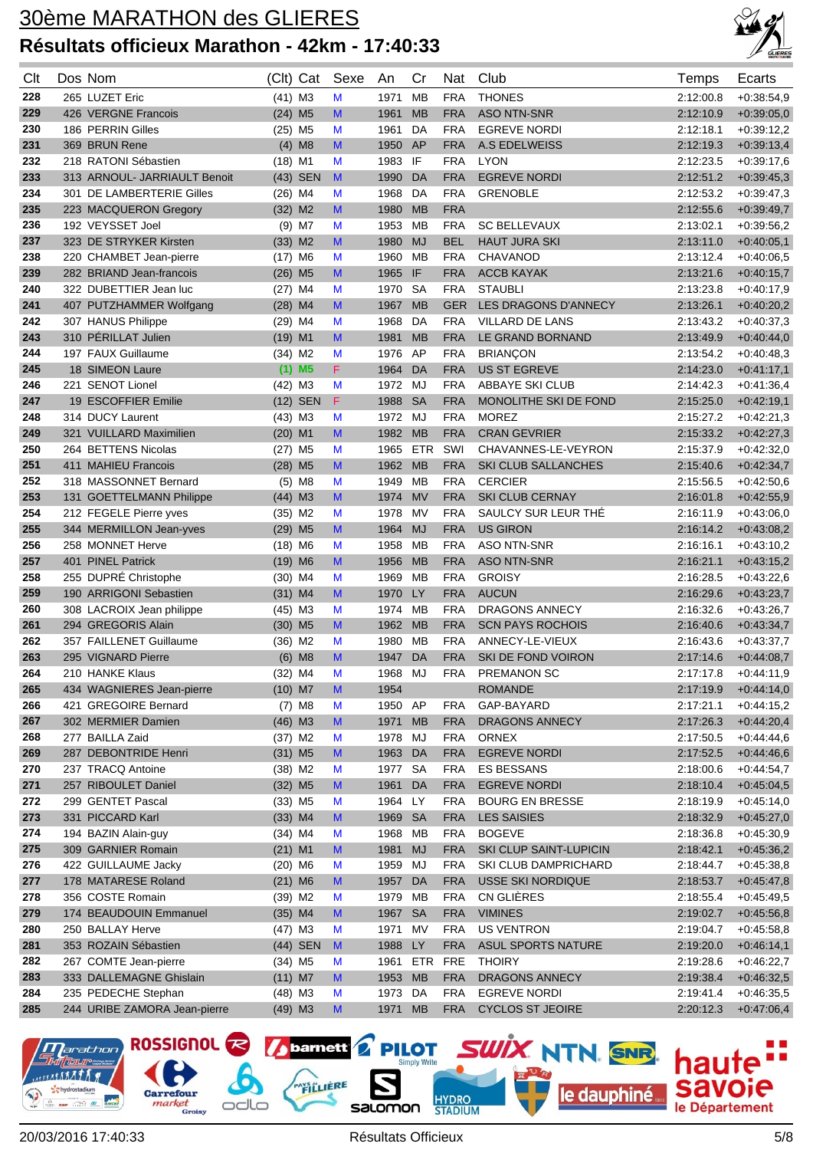

| Clt | Dos Nom                      | (Clt) Cat             | Sexe | An      | Cr        | Nat        | Club                       | Temps     | Ecarts       |
|-----|------------------------------|-----------------------|------|---------|-----------|------------|----------------------------|-----------|--------------|
| 228 | 265 LUZET Eric               | $(41)$ M3             | M    | 1971    | <b>MB</b> | <b>FRA</b> | <b>THONES</b>              | 2:12:00.8 | $+0.38:54,9$ |
| 229 | 426 VERGNE Francois          | $(24)$ M5             | M    | 1961    | <b>MB</b> | <b>FRA</b> | <b>ASO NTN-SNR</b>         | 2:12:10.9 | $+0.39:05,0$ |
| 230 | 186 PERRIN Gilles            | $(25)$ M5             | M    | 1961    | DA        | <b>FRA</b> | <b>EGREVE NORDI</b>        | 2:12:18.1 | $+0.39:12,2$ |
| 231 | 369 BRUN Rene                | $(4)$ M <sub>8</sub>  | M    | 1950    | AP        | <b>FRA</b> | A.S EDELWEISS              | 2:12:19.3 | $+0.39:13,4$ |
| 232 | 218 RATONI Sébastien         | $(18)$ M1             | M    | 1983    | IF        | <b>FRA</b> | <b>LYON</b>                | 2:12:23.5 | $+0.39:17,6$ |
| 233 | 313 ARNOUL- JARRIAULT Benoit | (43) SEN              | M    | 1990    | DA        | <b>FRA</b> | <b>EGREVE NORDI</b>        | 2:12:51.2 | $+0.39:45,3$ |
| 234 | 301 DE LAMBERTERIE Gilles    | $(26)$ M4             | M    | 1968    | DA        | <b>FRA</b> | <b>GRENOBLE</b>            | 2:12:53.2 | $+0.39:47,3$ |
| 235 | 223 MACQUERON Gregory        | $(32)$ M2             | M    | 1980    | <b>MB</b> | <b>FRA</b> |                            | 2:12:55.6 | $+0.39.49,7$ |
| 236 | 192 VEYSSET Joel             | $(9)$ M7              | M    | 1953    | МB        | <b>FRA</b> | <b>SC BELLEVAUX</b>        | 2:13:02.1 | $+0.39:56,2$ |
| 237 | 323 DE STRYKER Kirsten       | $(33)$ M2             | M    | 1980    | <b>MJ</b> | <b>BEL</b> | <b>HAUT JURA SKI</b>       | 2:13:11.0 | $+0.40:05,1$ |
| 238 | 220 CHAMBET Jean-pierre      | $(17)$ M6             | M    | 1960    | <b>MB</b> | <b>FRA</b> | <b>CHAVANOD</b>            | 2:13:12.4 | $+0.40:06,5$ |
| 239 | 282 BRIAND Jean-francois     | $(26)$ M <sub>5</sub> | M    | 1965    | IF        | <b>FRA</b> | <b>ACCB KAYAK</b>          | 2:13:21.6 | $+0.40.15,7$ |
| 240 | 322 DUBETTIER Jean luc       | $(27)$ M4             | M    | 1970    | <b>SA</b> | <b>FRA</b> | <b>STAUBLI</b>             | 2:13:23.8 | $+0.40:17,9$ |
| 241 | 407 PUTZHAMMER Wolfgang      | $(28)$ M4             | M    | 1967    | <b>MB</b> | <b>GER</b> | LES DRAGONS D'ANNECY       | 2:13:26.1 | $+0.40:20,2$ |
| 242 | 307 HANUS Philippe           | $(29)$ M4             | M    | 1968    | DA        | <b>FRA</b> | <b>VILLARD DE LANS</b>     | 2:13:43.2 | $+0.40:37.3$ |
| 243 | 310 PÉRILLAT Julien          | $(19)$ M1             | M    | 1981    | <b>MB</b> | <b>FRA</b> | LE GRAND BORNAND           | 2:13:49.9 | $+0.40:44,0$ |
| 244 | 197 FAUX Guillaume           | $(34)$ M2             | M    | 1976    | AP        | <b>FRA</b> | <b>BRIANCON</b>            | 2:13:54.2 | $+0.40:48,3$ |
| 245 | 18 SIMEON Laure              | $(1)$ M <sub>5</sub>  | F.   | 1964    | DA        | <b>FRA</b> | <b>US ST EGREVE</b>        | 2:14:23.0 | $+0:41:17,1$ |
| 246 | 221 SENOT Lionel             | $(42)$ M3             | M    | 1972    | MJ        | <b>FRA</b> | ABBAYE SKI CLUB            | 2:14:42.3 | $+0.41.36,4$ |
| 247 | 19 ESCOFFIER Emilie          | $(12)$ SEN            | F    | 1988    | <b>SA</b> | <b>FRA</b> | MONOLITHE SKI DE FOND      | 2:15:25.0 | $+0.42:19.1$ |
| 248 | 314 DUCY Laurent             | $(43)$ M3             | M    | 1972    | MJ        | <b>FRA</b> | <b>MOREZ</b>               | 2:15:27.2 | $+0.42:21,3$ |
| 249 | 321 VUILLARD Maximilien      | $(20)$ M1             | M    | 1982    | <b>MB</b> | <b>FRA</b> | <b>CRAN GEVRIER</b>        | 2:15:33.2 | $+0:42:27,3$ |
| 250 | 264 BETTENS Nicolas          | $(27)$ M5             | M    | 1965    | ETR       | SWI        | CHAVANNES-LE-VEYRON        | 2:15:37.9 | $+0.42:32,0$ |
| 251 | 411 MAHIEU Francois          | $(28)$ M <sub>5</sub> | M    | 1962    | <b>MB</b> | <b>FRA</b> | <b>SKI CLUB SALLANCHES</b> | 2:15:40.6 | $+0.42:34,7$ |
| 252 | 318 MASSONNET Bernard        | $(5)$ M <sub>8</sub>  | M    | 1949    | MВ        | <b>FRA</b> | <b>CERCIER</b>             | 2:15:56.5 | $+0.42:50,6$ |
| 253 | 131 GOETTELMANN Philippe     | $(44)$ M3             | M    | 1974 MV |           | <b>FRA</b> | <b>SKI CLUB CERNAY</b>     | 2:16:01.8 | $+0.42:55,9$ |
| 254 | 212 FEGELE Pierre yves       | $(35)$ M2             | M    | 1978    | MV        | <b>FRA</b> | SAULCY SUR LEUR THÉ        | 2:16:11.9 | $+0.43:06,0$ |
| 255 | 344 MERMILLON Jean-yves      | $(29)$ M <sub>5</sub> | M    | 1964    | <b>MJ</b> | <b>FRA</b> | <b>US GIRON</b>            | 2:16:14.2 | $+0.43:08,2$ |
| 256 | 258 MONNET Herve             | $(18)$ M6             | M    | 1958    | MВ        | <b>FRA</b> | <b>ASO NTN-SNR</b>         | 2:16:16.1 | $+0.43:10,2$ |
| 257 | 401 PINEL Patrick            | $(19)$ M6             | M    | 1956    | <b>MB</b> | <b>FRA</b> | <b>ASO NTN-SNR</b>         | 2:16:21.1 | $+0.43:15,2$ |
| 258 | 255 DUPRÉ Christophe         | $(30)$ M4             | M    | 1969    | МB        | <b>FRA</b> | <b>GROISY</b>              | 2:16:28.5 | $+0.43:22,6$ |
| 259 | 190 ARRIGONI Sebastien       | $(31)$ M4             | M    | 1970    | LY        | <b>FRA</b> | <b>AUCUN</b>               | 2:16:29.6 | $+0.43:23,7$ |
| 260 | 308 LACROIX Jean philippe    | $(45)$ M3             | M    | 1974    | МB        | <b>FRA</b> | DRAGONS ANNECY             | 2:16:32.6 | $+0.43:26,7$ |
| 261 | 294 GREGORIS Alain           | $(30)$ M <sub>5</sub> | M    | 1962    | <b>MB</b> | <b>FRA</b> | <b>SCN PAYS ROCHOIS</b>    | 2:16:40.6 | $+0.43.34,7$ |
| 262 | 357 FAILLENET Guillaume      | (36) M2               | M    | 1980    | МB        | <b>FRA</b> | ANNECY-LE-VIEUX            | 2:16:43.6 | $+0.43:37,7$ |
| 263 | 295 VIGNARD Pierre           | $(6)$ M <sub>8</sub>  | M    | 1947    | DA        | <b>FRA</b> | SKI DE FOND VOIRON         | 2:17:14.6 | $+0:44:08,7$ |
| 264 | 210 HANKE Klaus              | $(32)$ M4             | M    | 1968 MJ |           | <b>FRA</b> | <b>PREMANON SC</b>         | 2:17:17.8 | $+0.44:11,9$ |
| 265 | 434 WAGNIERES Jean-pierre    | $(10)$ M7             | M    | 1954    |           |            | <b>ROMANDE</b>             | 2:17:19.9 | $+0.44:14,0$ |
| 266 | 421 GREGOIRE Bernard         | $(7)$ M <sub>8</sub>  | M    | 1950 AP |           | FRA        | GAP-BAYARD                 | 2:17:21.1 | $+0.44:15,2$ |
| 267 | 302 MERMIER Damien           | $(46)$ M3             | M    | 1971    | <b>MB</b> | <b>FRA</b> | <b>DRAGONS ANNECY</b>      | 2:17:26.3 | $+0.44:20,4$ |
| 268 | 277 BAILLA Zaid              | $(37)$ M2             | M    | 1978    | MJ        | <b>FRA</b> | <b>ORNEX</b>               | 2:17:50.5 | $+0.44.44.6$ |
| 269 | 287 DEBONTRIDE Henri         | $(31)$ M5             | M    | 1963    | DA        | <b>FRA</b> | <b>EGREVE NORDI</b>        | 2:17:52.5 | $+0.44:46,6$ |
| 270 | 237 TRACQ Antoine            | $(38)$ M2             | M    | 1977    | <b>SA</b> | <b>FRA</b> | ES BESSANS                 | 2:18:00.6 | $+0.44:54,7$ |
| 271 | 257 RIBOULET Daniel          | $(32)$ M <sub>5</sub> | M    | 1961    | DA        | <b>FRA</b> | <b>EGREVE NORDI</b>        | 2:18:10.4 | $+0.45.04,5$ |
| 272 | 299 GENTET Pascal            | $(33)$ M <sub>5</sub> | M    | 1964 LY |           | <b>FRA</b> | <b>BOURG EN BRESSE</b>     | 2:18:19.9 | $+0.45:14.0$ |
| 273 | 331 PICCARD Karl             | $(33)$ M4             | M    | 1969 SA |           | <b>FRA</b> | <b>LES SAISIES</b>         | 2:18:32.9 | $+0.45:27,0$ |
| 274 | 194 BAZIN Alain-guy          | $(34)$ M4             | M    | 1968 MB |           | <b>FRA</b> | <b>BOGEVE</b>              | 2:18:36.8 | $+0.45:30,9$ |
| 275 | 309 GARNIER Romain           | $(21)$ M1             | M    | 1981    | <b>MJ</b> | <b>FRA</b> | SKI CLUP SAINT-LUPICIN     | 2:18:42.1 | $+0.45.36,2$ |
| 276 | 422 GUILLAUME Jacky          | $(20)$ M6             | M    | 1959    | MJ        | <b>FRA</b> | SKI CLUB DAMPRICHARD       | 2:18:44.7 | $+0.45:38,8$ |
| 277 | 178 MATARESE Roland          | $(21)$ M6             | M    | 1957    | DA        | <b>FRA</b> | USSE SKI NORDIQUE          | 2:18:53.7 | $+0.45:47,8$ |
| 278 | 356 COSTE Romain             | $(39)$ M2             | M    | 1979    | MВ        | <b>FRA</b> | CN GLIÈRES                 | 2:18:55.4 | $+0.45:49,5$ |
| 279 | 174 BEAUDOUIN Emmanuel       | $(35)$ M4             | M    | 1967    | <b>SA</b> | <b>FRA</b> | <b>VIMINES</b>             | 2:19:02.7 | $+0.45.56,8$ |
| 280 | 250 BALLAY Herve             | $(47)$ M3             | M    | 1971    | MV        | <b>FRA</b> | <b>US VENTRON</b>          | 2:19:04.7 | $+0.45:58,8$ |
| 281 | 353 ROZAIN Sébastien         | (44) SEN              | M    | 1988    | LY        | <b>FRA</b> | ASUL SPORTS NATURE         | 2:19:20.0 | $+0.46.14,1$ |
| 282 | 267 COMTE Jean-pierre        | $(34)$ M5             | M    | 1961    | ETR       | <b>FRE</b> | <b>THOIRY</b>              | 2:19:28.6 | $+0.46:22,7$ |
| 283 | 333 DALLEMAGNE Ghislain      | $(11)$ M7             | M    | 1953    | <b>MB</b> | <b>FRA</b> | <b>DRAGONS ANNECY</b>      | 2:19:38.4 | $+0.46.32,5$ |
| 284 | 235 PEDECHE Stephan          | $(48)$ M3             | M    | 1973    | DA        | <b>FRA</b> | <b>EGREVE NORDI</b>        | 2:19:41.4 | $+0.46.35,5$ |
| 285 | 244 URIBE ZAMORA Jean-pierre | $(49)$ M3             | M    | 1971    | <b>MB</b> | <b>FRA</b> | <b>CYCLOS ST JEOIRE</b>    | 2:20:12.3 | $+0.47:06,4$ |

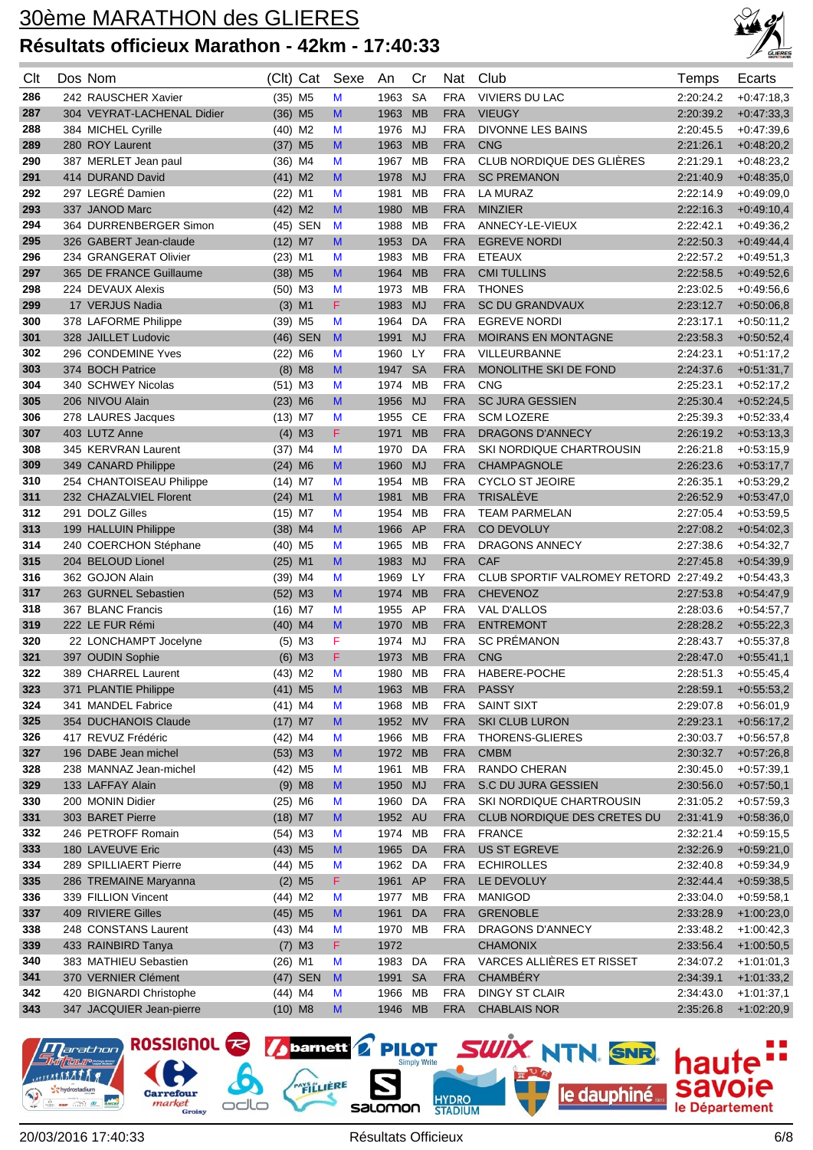

| Clt        | Dos Nom                                        | (Clt)                 | Cat                  | Sexe                                                                                                       | An           | Cr        | Nat                      | Club                                   | Temps                  | Ecarts                       |
|------------|------------------------------------------------|-----------------------|----------------------|------------------------------------------------------------------------------------------------------------|--------------|-----------|--------------------------|----------------------------------------|------------------------|------------------------------|
| 286        | 242 RAUSCHER Xavier                            | $(35)$ M5             |                      | M                                                                                                          | 1963         | <b>SA</b> | <b>FRA</b>               | <b>VIVIERS DU LAC</b>                  | 2:20:24.2              | $+0.47:18.3$                 |
| 287        | 304 VEYRAT-LACHENAL Didier                     | $(36)$ M5             |                      | M                                                                                                          | 1963         | <b>MB</b> | <b>FRA</b>               | <b>VIEUGY</b>                          | 2:20:39.2              | $+0.47:33,3$                 |
| 288        | 384 MICHEL Cyrille                             | $(40)$ M2             |                      | M                                                                                                          | 1976         | MJ        | <b>FRA</b>               | <b>DIVONNE LES BAINS</b>               | 2:20:45.5              | $+0.47:39.6$                 |
| 289        | 280 ROY Laurent                                | $(37)$ M <sub>5</sub> |                      | M                                                                                                          | 1963         | <b>MB</b> | <b>FRA</b>               | <b>CNG</b>                             | 2:21:26.1              | $+0.48:20,2$                 |
| 290        | 387 MERLET Jean paul                           | $(36)$ M4             |                      | M                                                                                                          | 1967         | MВ        | <b>FRA</b>               | CLUB NORDIQUE DES GLIÈRES              | 2:21:29.1              | $+0.48:23,2$                 |
| 291        | 414 DURAND David                               | $(41)$ M2             |                      | M                                                                                                          | 1978         | <b>MJ</b> | <b>FRA</b>               | <b>SC PREMANON</b>                     | 2:21:40.9              | $+0.48:35,0$                 |
| 292        | 297 LEGRÉ Damien                               | (22) M1               |                      | M                                                                                                          | 1981         | MВ        | <b>FRA</b>               | LA MURAZ                               | 2:22:14.9              | $+0.49:09,0$                 |
| 293        | 337 JANOD Marc                                 | $(42)$ M2             |                      | M                                                                                                          | 1980         | <b>MB</b> | <b>FRA</b>               | <b>MINZIER</b>                         | 2:22:16.3              | $+0.49:10,4$                 |
| 294        | 364 DURRENBERGER Simon                         |                       | (45) SEN             | M                                                                                                          | 1988         | <b>MB</b> | <b>FRA</b>               | ANNECY-LE-VIEUX                        | 2:22:42.1              | $+0.49.36,2$                 |
| 295        | 326 GABERT Jean-claude                         | $(12)$ M7             |                      | M                                                                                                          | 1953         | DA        | <b>FRA</b>               | <b>EGREVE NORDI</b>                    | 2:22:50.3              | $+0.49.44,4$                 |
| 296        | 234 GRANGERAT Olivier                          | $(23)$ M1             |                      | M                                                                                                          | 1983         | MВ        | <b>FRA</b>               | <b>ETEAUX</b>                          | 2:22:57.2              | $+0.49:51,3$                 |
| 297        | 365 DE FRANCE Guillaume                        | $(38)$ M5             |                      | M                                                                                                          | 1964         | <b>MB</b> | <b>FRA</b>               | <b>CMI TULLINS</b>                     | 2:22:58.5              | $+0.49:52,6$                 |
| 298        | 224 DEVAUX Alexis                              | $(50)$ M3             |                      | M                                                                                                          | 1973         | <b>MB</b> | <b>FRA</b>               | <b>THONES</b>                          | 2:23:02.5              | $+0.49.56,6$                 |
| 299        | 17 VERJUS Nadia                                |                       | $(3)$ M1             | F                                                                                                          | 1983         | <b>MJ</b> | <b>FRA</b>               | <b>SC DU GRANDVAUX</b>                 | 2:23:12.7              | $+0.50:06,8$                 |
| 300        | 378 LAFORME Philippe                           | $(39)$ M5             |                      | M                                                                                                          | 1964         | DA        | <b>FRA</b>               | <b>EGREVE NORDI</b>                    | 2:23:17.1              | $+0.50:11,2$                 |
| 301        | 328 JAILLET Ludovic                            |                       | (46) SEN             | M                                                                                                          | 1991         | <b>MJ</b> | <b>FRA</b>               | <b>MOIRANS EN MONTAGNE</b>             | 2:23:58.3              | $+0.50.52,4$                 |
| 302        | 296 CONDEMINE Yves                             | $(22)$ M6             |                      | M                                                                                                          | 1960         | LY        | <b>FRA</b>               | <b>VILLEURBANNE</b>                    | 2:24:23.1              | $+0.51:17,2$                 |
| 303        | 374 BOCH Patrice                               | (8)                   | M8                   | M                                                                                                          | 1947         | <b>SA</b> | <b>FRA</b>               | MONOLITHE SKI DE FOND                  | 2:24:37.6              | $+0:51:31.7$                 |
| 304        | 340 SCHWEY Nicolas                             | $(51)$ M3             |                      | M                                                                                                          | 1974         | <b>MB</b> | <b>FRA</b>               | <b>CNG</b>                             | 2:25:23.1              | $+0.52:17,2$                 |
| 305        | 206 NIVOU Alain                                | (23)                  | M <sub>6</sub>       | M                                                                                                          | 1956         | <b>MJ</b> | <b>FRA</b>               | <b>SC JURA GESSIEN</b>                 | 2:25:30.4              | $+0.52:24,5$                 |
| 306        | 278 LAURES Jacques                             | $(13)$ M7             |                      | M                                                                                                          | 1955         | CE        | <b>FRA</b>               | <b>SCM LOZERE</b>                      | 2:25:39.3              | $+0.52:33,4$                 |
| 307        | 403 LUTZ Anne                                  |                       | $(4)$ M3             | F                                                                                                          | 1971         | <b>MB</b> | <b>FRA</b>               | <b>DRAGONS D'ANNECY</b>                | 2:26:19.2              | $+0.53:13,3$                 |
| 308        | 345 KERVRAN Laurent                            | $(37)$ M4             |                      | M                                                                                                          | 1970         | DA        | <b>FRA</b>               | <b>SKI NORDIQUE CHARTROUSIN</b>        | 2:26:21.8              | $+0.53:15,9$                 |
| 309        | 349 CANARD Philippe                            | $(24)$ M6             |                      | M                                                                                                          | 1960         | <b>MJ</b> | <b>FRA</b>               | CHAMPAGNOLE                            | 2:26:23.6              | $+0.53:17,7$                 |
| 310        | 254 CHANTOISEAU Philippe                       | $(14)$ M7             |                      | M                                                                                                          | 1954         | <b>MB</b> | <b>FRA</b>               | <b>CYCLO ST JEOIRE</b>                 | 2:26:35.1              | $+0.53:29,2$                 |
| 311        | 232 CHAZALVIEL Florent                         | $(24)$ M1             |                      | M                                                                                                          | 1981         | <b>MB</b> | <b>FRA</b>               | TRISALÈVE                              | 2:26:52.9              | $+0.53:47,0$                 |
| 312        | 291 DOLZ Gilles                                | (15) M7               |                      | М                                                                                                          | 1954         | MВ        | <b>FRA</b>               | <b>TEAM PARMELAN</b>                   | 2:27:05.4              | $+0.53.59,5$                 |
| 313        | 199 HALLUIN Philippe                           | $(38)$ M4             |                      | M                                                                                                          | 1966         | AP        | <b>FRA</b>               | <b>CO DEVOLUY</b>                      | 2:27:08.2              | $+0.54:02,3$                 |
| 314        | 240 COERCHON Stéphane                          | $(40)$ M5             |                      | М                                                                                                          | 1965         | <b>MB</b> | <b>FRA</b>               | <b>DRAGONS ANNECY</b>                  | 2:27:38.6              | $+0.54:32,7$                 |
| 315        | 204 BELOUD Lionel                              | $(25)$ M1             |                      | $\mathsf{M}% _{T}=\mathsf{M}_{T}\!\left( a,b\right) ,\ \mathsf{M}_{T}=\mathsf{M}_{T}\!\left( a,b\right) ,$ | 1983         | <b>MJ</b> | <b>FRA</b>               | <b>CAF</b>                             | 2:27:45.8              | $+0.54.39,9$                 |
| 316        | 362 GOJON Alain                                | $(39)$ M4             |                      | M                                                                                                          | 1969         | LY        | <b>FRA</b>               | CLUB SPORTIF VALROMEY RETORD 2:27:49.2 |                        | $+0.54:43,3$                 |
| 317        | 263 GURNEL Sebastien                           | $(52)$ M3             |                      | M                                                                                                          | 1974         | <b>MB</b> | <b>FRA</b>               | <b>CHEVENOZ</b>                        | 2:27:53.8              | $+0.54:47,9$                 |
| 318        | 367 BLANC Francis                              | $(16)$ M7             |                      | M                                                                                                          | 1955         | AP        | <b>FRA</b>               | VAL D'ALLOS                            | 2:28:03.6              | $+0.54.57,7$                 |
| 319        | 222 LE FUR Rémi                                | $(40)$ M4             |                      | M                                                                                                          | 1970         | <b>MB</b> | <b>FRA</b>               | <b>ENTREMONT</b>                       | 2:28:28.2              | $+0.55:22,3$                 |
| 320        | 22 LONCHAMPT Jocelyne                          |                       | $(5)$ M3             | F                                                                                                          | 1974         | MJ        | <b>FRA</b>               | <b>SC PRÉMANON</b>                     | 2:28:43.7              | $+0.55:37,8$                 |
| 321        | 397 OUDIN Sophie                               |                       | $(6)$ M3             | F                                                                                                          | 1973         | <b>MB</b> | <b>FRA</b>               | <b>CNG</b>                             | 2:28:47.0              | $+0.55.41,1$                 |
| 322        | 389 CHARREL Laurent                            | $(43)$ M <sub>2</sub> |                      | М                                                                                                          | 1980         | МB        | <b>FRA</b>               | HABERE-POCHE                           | 2:28:51.3              | $+0.55.45,4$                 |
| 323        | 371 PLANTIE Philippe                           | $(41)$ M5             |                      | M                                                                                                          | 1963         | <b>MB</b> | <b>FRA</b>               | <b>PASSY</b>                           | 2:28:59.1              | $+0.55.53,2$                 |
| 324        | 341 MANDEL Fabrice                             | $(41)$ M4             |                      | M                                                                                                          | 1968         | MB        | <b>FRA</b>               | <b>SAINT SIXT</b>                      | 2:29:07.8              | $+0.56:01,9$                 |
| 325        | 354 DUCHANOIS Claude                           | $(17)$ M7             |                      | M                                                                                                          | 1952         | <b>MV</b> | <b>FRA</b>               | <b>SKI CLUB LURON</b>                  | 2:29:23.1              | $+0.56:17,2$                 |
| 326        | 417 REVUZ Frédéric                             | $(42)$ M4             |                      | M                                                                                                          | 1966         | MB        | <b>FRA</b>               | <b>THORENS-GLIERES</b>                 | 2:30:03.7              | $+0.56.57,8$                 |
| 327        | 196 DABE Jean michel<br>238 MANNAZ Jean-michel | $(53)$ M3             |                      | M                                                                                                          | 1972<br>1961 | MB<br>МB  | <b>FRA</b><br><b>FRA</b> | <b>CMBM</b><br>RANDO CHERAN            | 2:30:32.7<br>2:30:45.0 | $+0.57:26,8$                 |
| 328<br>329 | 133 LAFFAY Alain                               | (42) M5               |                      | M                                                                                                          |              | <b>MJ</b> | <b>FRA</b>               | S.C DU JURA GESSIEN                    |                        | $+0.57:39,1$                 |
| 330        | 200 MONIN Didier                               | $(25)$ M6             | $(9)$ M8             | M<br>M                                                                                                     | 1950<br>1960 | DA        | <b>FRA</b>               | SKI NORDIQUE CHARTROUSIN               | 2:30:56.0<br>2:31:05.2 | $+0.57:50,1$<br>$+0.57:59,3$ |
| 331        | 303 BARET Pierre                               | $(18)$ M7             |                      | M                                                                                                          | 1952 AU      |           | <b>FRA</b>               | CLUB NORDIQUE DES CRETES DU            | 2:31:41.9              | $+0.58.36,0$                 |
| 332        | 246 PETROFF Romain                             | $(54)$ M3             |                      | M                                                                                                          | 1974 MB      |           | <b>FRA</b>               | <b>FRANCE</b>                          | 2:32:21.4              | $+0.59.15,5$                 |
| 333        | 180 LAVEUVE Eric                               | $(43)$ M5             |                      | M                                                                                                          | 1965         | DA        | <b>FRA</b>               | US ST EGREVE                           | 2:32:26.9              | $+0.59:21.0$                 |
| 334        | 289 SPILLIAERT Pierre                          | (44) M5               |                      | M                                                                                                          | 1962 DA      |           | <b>FRA</b>               | <b>ECHIROLLES</b>                      | 2:32:40.8              | $+0.59.34,9$                 |
| 335        | 286 TREMAINE Maryanna                          |                       | $(2)$ M <sub>5</sub> | F.                                                                                                         | 1961 AP      |           | <b>FRA</b>               | LE DEVOLUY                             | 2:32:44.4              | $+0.59.38,5$                 |
| 336        | 339 FILLION Vincent                            | $(44)$ M2             |                      | M                                                                                                          | 1977         | MB        | <b>FRA</b>               | <b>MANIGOD</b>                         | 2:33:04.0              | $+0.59.58,1$                 |
| 337        | 409 RIVIERE Gilles                             | $(45)$ M5             |                      | M                                                                                                          | 1961         | DA        | <b>FRA</b>               | <b>GRENOBLE</b>                        | 2:33:28.9              | $+1:00:23,0$                 |
| 338        | 248 CONSTANS Laurent                           | $(43)$ M4             |                      | M                                                                                                          | 1970 MB      |           | <b>FRA</b>               | DRAGONS D'ANNECY                       | 2:33:48.2              | $+1:00:42,3$                 |
| 339        | 433 RAINBIRD Tanya                             |                       | $(7)$ M3             | F.                                                                                                         | 1972         |           |                          | <b>CHAMONIX</b>                        | 2:33:56.4              | $+1:00:50,5$                 |
| 340        | 383 MATHIEU Sebastien                          | $(26)$ M1             |                      | M                                                                                                          | 1983 DA      |           | <b>FRA</b>               | VARCES ALLIÈRES ET RISSET              | 2:34:07.2              | $+1:01:01,3$                 |
| 341        | 370 VERNIER Clément                            |                       | (47) SEN             | M                                                                                                          | 1991         | <b>SA</b> | <b>FRA</b>               | <b>CHAMBÉRY</b>                        | 2:34:39.1              | $+1:01:33,2$                 |
| 342        | 420 BIGNARDI Christophe                        | $(44)$ M4             |                      | M                                                                                                          | 1966         | MВ        | <b>FRA</b>               | <b>DINGY ST CLAIR</b>                  | 2:34:43.0              | $+1:01:37,1$                 |
| 343        | 347 JACQUIER Jean-pierre                       | $(10)$ M8             |                      | M                                                                                                          | 1946 MB      |           | <b>FRA</b>               | <b>CHABLAIS NOR</b>                    | 2:35:26.8              | $+1:02:20,9$                 |
|            |                                                |                       |                      |                                                                                                            |              |           |                          |                                        |                        |                              |

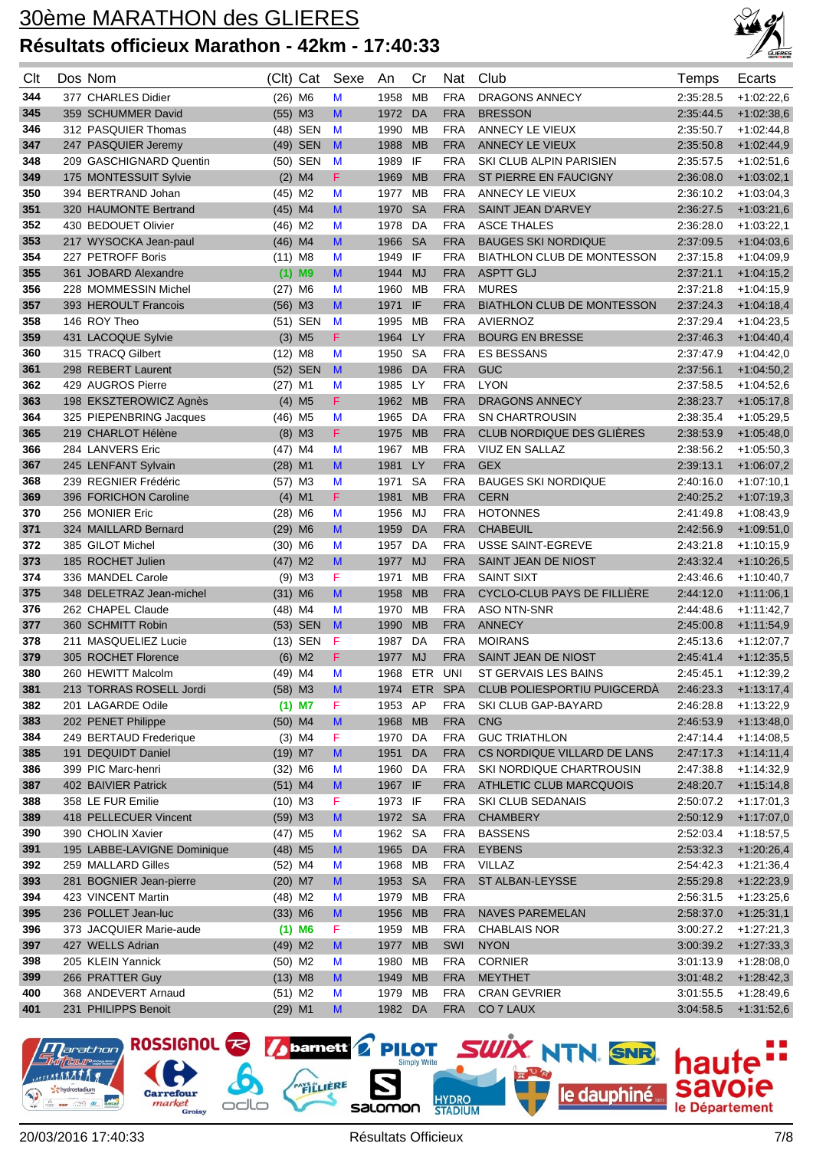

| Clt | Dos Nom                     | (Clt) Cat             |                      | Sexe                                                                                  | An       | Cr         | Nat        | Club                              | Temps     | Ecarts       |
|-----|-----------------------------|-----------------------|----------------------|---------------------------------------------------------------------------------------|----------|------------|------------|-----------------------------------|-----------|--------------|
| 344 | 377 CHARLES Didier          | $(26)$ M6             |                      | M                                                                                     | 1958     | <b>MB</b>  | <b>FRA</b> | <b>DRAGONS ANNECY</b>             | 2:35:28.5 | $+1:02:22,6$ |
| 345 | 359 SCHUMMER David          | $(55)$ M3             |                      | M                                                                                     | 1972     | DA         | <b>FRA</b> | <b>BRESSON</b>                    | 2:35:44.5 | $+1:02:38,6$ |
| 346 | 312 PASQUIER Thomas         |                       | (48) SEN             | M                                                                                     | 1990     | MВ         | <b>FRA</b> | ANNECY LE VIEUX                   | 2:35:50.7 | $+1:02:44,8$ |
| 347 | 247 PASQUIER Jeremy         |                       | (49) SEN             | M                                                                                     | 1988     | <b>MB</b>  | <b>FRA</b> | ANNECY LE VIEUX                   | 2:35:50.8 | $+1:02:44,9$ |
| 348 | 209 GASCHIGNARD Quentin     |                       | (50) SEN             | M                                                                                     | 1989     | IF         | <b>FRA</b> | SKI CLUB ALPIN PARISIEN           | 2:35:57.5 | $+1:02:51,6$ |
| 349 | 175 MONTESSUIT Sylvie       |                       | $(2)$ M4             | F.                                                                                    | 1969     | <b>MB</b>  | <b>FRA</b> | ST PIERRE EN FAUCIGNY             | 2:36:08.0 | $+1:03:02,1$ |
| 350 | 394 BERTRAND Johan          | $(45)$ M2             |                      | M                                                                                     | 1977     | мв         | <b>FRA</b> | ANNECY LE VIEUX                   | 2:36:10.2 | $+1:03:04,3$ |
| 351 | 320 HAUMONTE Bertrand       | $(45)$ M4             |                      | M                                                                                     | 1970     | <b>SA</b>  | <b>FRA</b> | <b>SAINT JEAN D'ARVEY</b>         | 2:36:27.5 | $+1:03:21,6$ |
| 352 | 430 BEDOUET Olivier         | $(46)$ M2             |                      | M                                                                                     | 1978     | DA         | <b>FRA</b> | <b>ASCE THALES</b>                | 2:36:28.0 | $+1:03:22.1$ |
| 353 | 217 WYSOCKA Jean-paul       | $(46)$ M4             |                      | M                                                                                     | 1966     | <b>SA</b>  | <b>FRA</b> | <b>BAUGES SKI NORDIQUE</b>        | 2:37:09.5 | $+1:04:03,6$ |
| 354 | 227 PETROFF Boris           | $(11)$ M8             |                      | M                                                                                     | 1949     | IF         | <b>FRA</b> | <b>BIATHLON CLUB DE MONTESSON</b> | 2:37:15.8 | $+1:04:09,9$ |
| 355 | 361 JOBARD Alexandre        |                       | $(1)$ M9             | M                                                                                     | 1944     | <b>MJ</b>  | <b>FRA</b> | <b>ASPTT GLJ</b>                  | 2:37:21.1 | $+1:04:15,2$ |
| 356 | 228 MOMMESSIN Michel        | $(27)$ M6             |                      | M                                                                                     | 1960     | мв         | <b>FRA</b> | <b>MURES</b>                      | 2:37:21.8 | $+1:04:15,9$ |
| 357 | 393 HEROULT Francois        | $(56)$ M3             |                      | M                                                                                     | 1971 IF  |            | <b>FRA</b> | <b>BIATHLON CLUB DE MONTESSON</b> | 2:37:24.3 | $+1:04:18,4$ |
| 358 | 146 ROY Theo                |                       | (51) SEN             | M                                                                                     | 1995     | MВ         | <b>FRA</b> | <b>AVIERNOZ</b>                   | 2:37:29.4 | $+1:04:23,5$ |
| 359 | 431 LACOQUE Sylvie          |                       | $(3)$ M <sub>5</sub> | F                                                                                     | 1964     | <b>LY</b>  | <b>FRA</b> | <b>BOURG EN BRESSE</b>            | 2:37:46.3 | $+1:04:40,4$ |
| 360 | 315 TRACQ Gilbert           | $(12)$ M <sub>8</sub> |                      | M                                                                                     | 1950     | <b>SA</b>  | <b>FRA</b> | <b>ES BESSANS</b>                 | 2:37:47.9 | $+1:04:42,0$ |
| 361 | 298 REBERT Laurent          |                       | (52) SEN             | $\mathbf{M}$                                                                          | 1986     | <b>DA</b>  | <b>FRA</b> | GUC                               | 2:37:56.1 | $+1:04:50,2$ |
| 362 | 429 AUGROS Pierre           | $(27)$ M1             |                      | М                                                                                     | 1985     | LY.        | <b>FRA</b> | <b>LYON</b>                       | 2:37:58.5 | $+1.04.52,6$ |
| 363 | 198 EKSZTEROWICZ Agnès      |                       | $(4)$ M <sub>5</sub> | F.                                                                                    | 1962     | <b>MB</b>  | <b>FRA</b> | <b>DRAGONS ANNECY</b>             | 2:38:23.7 | $+1:05:17,8$ |
| 364 | 325 PIEPENBRING Jacques     | $(46)$ M <sub>5</sub> |                      | M                                                                                     | 1965     | DA         | <b>FRA</b> | <b>SN CHARTROUSIN</b>             | 2:38:35.4 | $+1:05:29,5$ |
| 365 | 219 CHARLOT Hélène          |                       | $(8)$ M3             | F                                                                                     | 1975     | <b>MB</b>  | <b>FRA</b> | CLUB NORDIQUE DES GLIÈRES         | 2:38:53.9 | $+1:05:48,0$ |
| 366 | 284 LANVERS Eric            | $(47)$ M4             |                      | M                                                                                     | 1967     | MB         | <b>FRA</b> | VIUZ EN SALLAZ                    | 2:38:56.2 | $+1:05:50,3$ |
| 367 | 245 LENFANT Sylvain         | $(28)$ M1             |                      | M                                                                                     | 1981     | LY         | <b>FRA</b> | <b>GEX</b>                        | 2:39:13.1 | $+1:06:07,2$ |
| 368 | 239 REGNIER Frédéric        | (57) M3               |                      | M                                                                                     | 1971     | <b>SA</b>  | <b>FRA</b> | <b>BAUGES SKI NORDIQUE</b>        | 2:40:16.0 | $+1:07:10,1$ |
| 369 | 396 FORICHON Caroline       |                       | $(4)$ M1             | F                                                                                     | 1981     | <b>MB</b>  | <b>FRA</b> | <b>CERN</b>                       | 2:40:25.2 | $+1:07:19,3$ |
| 370 | 256 MONIER Eric             | $(28)$ M6             |                      | M                                                                                     | 1956     | MJ         | <b>FRA</b> | <b>HOTONNES</b>                   | 2:41:49.8 | $+1:08:43,9$ |
| 371 | 324 MAILLARD Bernard        | $(29)$ M6             |                      | M                                                                                     | 1959     | DA         | <b>FRA</b> | <b>CHABEUIL</b>                   | 2:42:56.9 | $+1:09:51,0$ |
| 372 | 385 GILOT Michel            | $(30)$ M6             |                      | M                                                                                     | 1957     | DA         | <b>FRA</b> | USSE SAINT-EGREVE                 | 2:43:21.8 | $+1:10:15,9$ |
| 373 | 185 ROCHET Julien           | $(47)$ M2             |                      | M                                                                                     | 1977     | <b>MJ</b>  | <b>FRA</b> | SAINT JEAN DE NIOST               | 2:43:32.4 | $+1:10:26,5$ |
| 374 | 336 MANDEL Carole           |                       | $(9)$ M3             | F                                                                                     | 1971     | МB         | <b>FRA</b> | <b>SAINT SIXT</b>                 | 2:43:46.6 | $+1:10:40,7$ |
| 375 | 348 DELETRAZ Jean-michel    | $(31)$ M6             |                      | M                                                                                     | 1958     | <b>MB</b>  | <b>FRA</b> | CYCLO-CLUB PAYS DE FILLIERE       | 2:44:12.0 | $+1:11:06,1$ |
| 376 | 262 CHAPEL Claude           | $(48)$ M4             |                      | M                                                                                     | 1970     | МB         | <b>FRA</b> | <b>ASO NTN-SNR</b>                | 2:44:48.6 | $+1:11:42,7$ |
| 377 | 360 SCHMITT Robin           |                       | (53) SEN             | M                                                                                     | 1990     | <b>MB</b>  | <b>FRA</b> | <b>ANNECY</b>                     | 2:45:00.8 | $+1:11:54,9$ |
| 378 | 211 MASQUELIEZ Lucie        |                       | (13) SEN             | F                                                                                     | 1987     | DA         | <b>FRA</b> | <b>MOIRANS</b>                    | 2:45:13.6 | $+1:12:07,7$ |
| 379 | 305 ROCHET Florence         |                       | $(6)$ M2             | F                                                                                     | 1977     | <b>MJ</b>  | <b>FRA</b> | SAINT JEAN DE NIOST               | 2:45:41.4 | $+1:12:35,5$ |
| 380 | 260 HEWITT Malcolm          | $(49)$ M4             |                      | M                                                                                     | 1968     | <b>ETR</b> | UNI        | ST GERVAIS LES BAINS              | 2:45:45.1 | $+1:12:39,2$ |
| 381 | 213 TORRAS ROSELL Jordi     | $(58)$ M3             |                      | M                                                                                     | 1974 ETR |            | <b>SPA</b> | CLUB POLIESPORTIU PUIGCERDÀ       | 2:46:23.3 | $+1:13:17,4$ |
| 382 | 201 LAGARDE Odile           |                       | $(1)$ M7             | F                                                                                     | 1953     | AP         | <b>FRA</b> | SKI CLUB GAP-BAYARD               | 2:46:28.8 | $+1:13:22,9$ |
| 383 | 202 PENET Philippe          | $(50)$ M4             |                      | M                                                                                     | 1968     | <b>MB</b>  | <b>FRA</b> | <b>CNG</b>                        | 2:46:53.9 | $+1:13:48.0$ |
| 384 | 249 BERTAUD Frederique      |                       | $(3)$ M4             | F                                                                                     | 1970     | DA         | <b>FRA</b> | <b>GUC TRIATHLON</b>              | 2:47:14.4 | $+1:14:08,5$ |
| 385 | 191 DEQUIDT Daniel          | $(19)$ M7             |                      | M                                                                                     | 1951     | DA         | <b>FRA</b> | CS NORDIQUE VILLARD DE LANS       | 2:47:17.3 | $+1:14:11,4$ |
| 386 | 399 PIC Marc-henri          | $(32)$ M6             |                      | M                                                                                     | 1960     | DA         | <b>FRA</b> | SKI NORDIQUE CHARTROUSIN          | 2:47:38.8 | $+1:14:32,9$ |
| 387 | 402 BAIVIER Patrick         | $(51)$ M4             |                      | M                                                                                     | 1967 IF  |            | <b>FRA</b> | ATHLETIC CLUB MARCQUOIS           | 2:48:20.7 | $+1:15:14,8$ |
| 388 | 358 LE FUR Emilie           | $(10)$ M3             |                      | F                                                                                     | 1973 IF  |            | <b>FRA</b> | SKI CLUB SEDANAIS                 | 2:50:07.2 | $+1:17:01,3$ |
| 389 | 418 PELLECUER Vincent       | $(59)$ M3             |                      | M                                                                                     | 1972 SA  |            | <b>FRA</b> | <b>CHAMBERY</b>                   | 2:50:12.9 | $+1:17:07,0$ |
| 390 | 390 CHOLIN Xavier           | $(47)$ M5             |                      | M                                                                                     | 1962 SA  |            | <b>FRA</b> | <b>BASSENS</b>                    | 2:52:03.4 | $+1:18:57,5$ |
| 391 | 195 LABBE-LAVIGNE Dominique | $(48)$ M5             |                      | M                                                                                     | 1965 DA  |            | <b>FRA</b> | <b>EYBENS</b>                     | 2:53:32.3 | $+1:20:26,4$ |
| 392 | 259 MALLARD Gilles          | $(52)$ M4             |                      | M                                                                                     | 1968     | MВ         | <b>FRA</b> | VILLAZ                            | 2:54:42.3 | $+1:21:36,4$ |
| 393 | 281 BOGNIER Jean-pierre     | $(20)$ M7             |                      | M                                                                                     | 1953     | <b>SA</b>  | <b>FRA</b> | ST ALBAN-LEYSSE                   | 2:55:29.8 | $+1:22:23,9$ |
| 394 | 423 VINCENT Martin          | $(48)$ M2             |                      | M                                                                                     | 1979     | MВ         | <b>FRA</b> |                                   | 2:56:31.5 | $+1:23:25,6$ |
| 395 | 236 POLLET Jean-luc         | $(33)$ M6             |                      | M                                                                                     | 1956     | <b>MB</b>  | <b>FRA</b> | <b>NAVES PAREMELAN</b>            | 2:58:37.0 | $+1:25:31,1$ |
| 396 | 373 JACQUIER Marie-aude     |                       | $(1)$ M6             | F                                                                                     | 1959 MB  |            | <b>FRA</b> | <b>CHABLAIS NOR</b>               | 3:00:27.2 | $+1:27:21,3$ |
| 397 | 427 WELLS Adrian            | $(49)$ M2             |                      | $\mathsf{M}% _{T}=\mathsf{M}_{T}\!\left( a,b\right) ,\ \mathsf{M}_{T}=\mathsf{M}_{T}$ | 1977 MB  |            | SWI        | <b>NYON</b>                       | 3:00:39.2 | $+1:27:33,3$ |
| 398 | 205 KLEIN Yannick           | $(50)$ M2             |                      | M                                                                                     | 1980 MB  |            | <b>FRA</b> | <b>CORNIER</b>                    | 3:01:13.9 | $+1:28:08,0$ |
| 399 | 266 PRATTER Guy             | $(13)$ M8             |                      | M                                                                                     | 1949     | <b>MB</b>  | <b>FRA</b> | <b>MEYTHET</b>                    | 3:01:48.2 | $+1:28:42,3$ |
| 400 | 368 ANDEVERT Arnaud         | $(51)$ M2             |                      | M                                                                                     | 1979 MB  |            | <b>FRA</b> | <b>CRAN GEVRIER</b>               | 3:01:55.5 | $+1.28.49,6$ |
| 401 | 231 PHILIPPS Benoit         | $(29)$ M1             |                      | M                                                                                     | 1982 DA  |            | <b>FRA</b> | CO 7 LAUX                         | 3:04:58.5 | $+1:31:52,6$ |